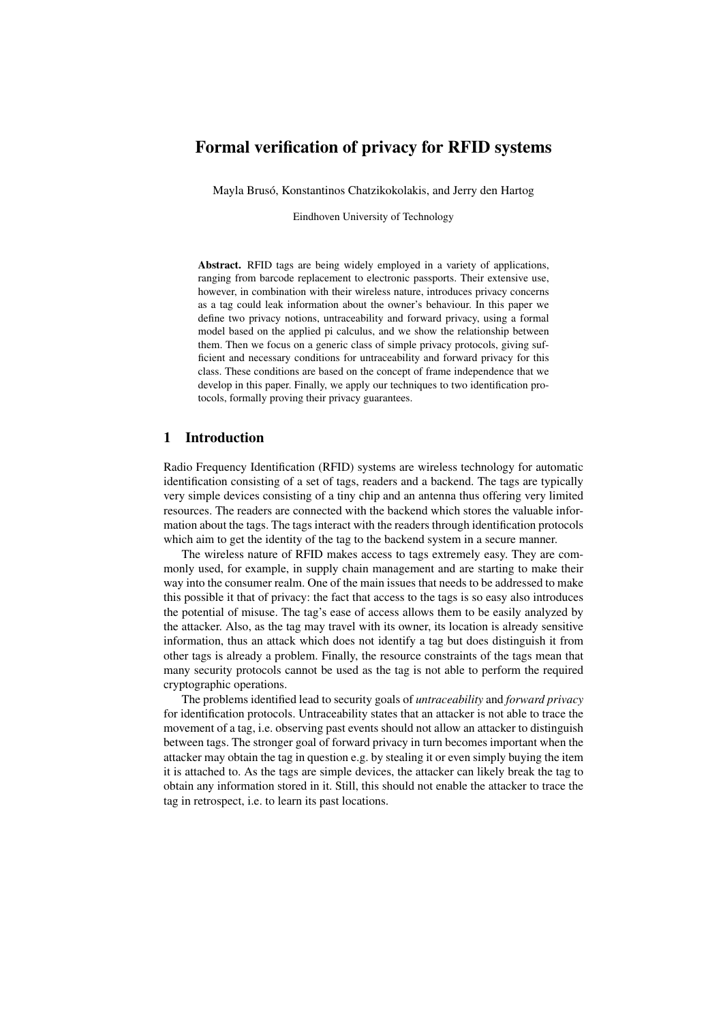# Formal verification of privacy for RFID systems

Mayla Brusó, Konstantinos Chatzikokolakis, and Jerry den Hartog

Eindhoven University of Technology

Abstract. RFID tags are being widely employed in a variety of applications, ranging from barcode replacement to electronic passports. Their extensive use, however, in combination with their wireless nature, introduces privacy concerns as a tag could leak information about the owner's behaviour. In this paper we define two privacy notions, untraceability and forward privacy, using a formal model based on the applied pi calculus, and we show the relationship between them. Then we focus on a generic class of simple privacy protocols, giving sufficient and necessary conditions for untraceability and forward privacy for this class. These conditions are based on the concept of frame independence that we develop in this paper. Finally, we apply our techniques to two identification protocols, formally proving their privacy guarantees.

### 1 Introduction

Radio Frequency Identification (RFID) systems are wireless technology for automatic identification consisting of a set of tags, readers and a backend. The tags are typically very simple devices consisting of a tiny chip and an antenna thus offering very limited resources. The readers are connected with the backend which stores the valuable information about the tags. The tags interact with the readers through identification protocols which aim to get the identity of the tag to the backend system in a secure manner.

The wireless nature of RFID makes access to tags extremely easy. They are commonly used, for example, in supply chain management and are starting to make their way into the consumer realm. One of the main issues that needs to be addressed to make this possible it that of privacy: the fact that access to the tags is so easy also introduces the potential of misuse. The tag's ease of access allows them to be easily analyzed by the attacker. Also, as the tag may travel with its owner, its location is already sensitive information, thus an attack which does not identify a tag but does distinguish it from other tags is already a problem. Finally, the resource constraints of the tags mean that many security protocols cannot be used as the tag is not able to perform the required cryptographic operations.

The problems identified lead to security goals of *untraceability* and *forward privacy* for identification protocols. Untraceability states that an attacker is not able to trace the movement of a tag, i.e. observing past events should not allow an attacker to distinguish between tags. The stronger goal of forward privacy in turn becomes important when the attacker may obtain the tag in question e.g. by stealing it or even simply buying the item it is attached to. As the tags are simple devices, the attacker can likely break the tag to obtain any information stored in it. Still, this should not enable the attacker to trace the tag in retrospect, i.e. to learn its past locations.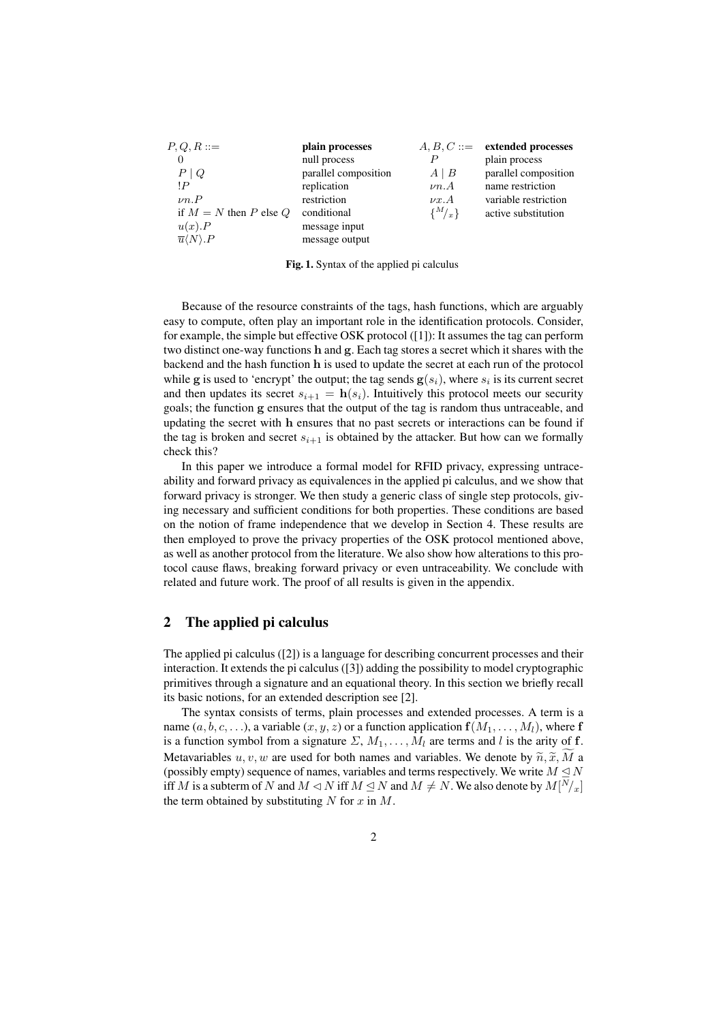| $P,Q,R ::=$                      | plain processes      |                  | $A, B, C ::=$ extended processes |
|----------------------------------|----------------------|------------------|----------------------------------|
| $\theta$                         | null process         | Р                | plain process                    |
| $P \mid Q$                       | parallel composition | $A \mid B$       | parallel composition             |
| P                                | replication          | $\nu n.A$        | name restriction                 |
| $\nu n.P$                        | restriction          | $\nu x. A$       | variable restriction             |
| if $M = N$ then P else Q         | conditional          | $\{^M\!/_{x}\}\$ | active substitution              |
| $u(x)$ . $P$                     | message input        |                  |                                  |
| $\overline{u}\langle N\rangle.P$ | message output       |                  |                                  |

Fig. 1. Syntax of the applied pi calculus

Because of the resource constraints of the tags, hash functions, which are arguably easy to compute, often play an important role in the identification protocols. Consider, for example, the simple but effective OSK protocol ([1]): It assumes the tag can perform two distinct one-way functions h and g. Each tag stores a secret which it shares with the backend and the hash function h is used to update the secret at each run of the protocol while g is used to 'encrypt' the output; the tag sends  $g(s_i)$ , where  $s_i$  is its current secret and then updates its secret  $s_{i+1} = \mathbf{h}(s_i)$ . Intuitively this protocol meets our security goals; the function g ensures that the output of the tag is random thus untraceable, and updating the secret with h ensures that no past secrets or interactions can be found if the tag is broken and secret  $s_{i+1}$  is obtained by the attacker. But how can we formally check this?

In this paper we introduce a formal model for RFID privacy, expressing untraceability and forward privacy as equivalences in the applied pi calculus, and we show that forward privacy is stronger. We then study a generic class of single step protocols, giving necessary and sufficient conditions for both properties. These conditions are based on the notion of frame independence that we develop in Section 4. These results are then employed to prove the privacy properties of the OSK protocol mentioned above, as well as another protocol from the literature. We also show how alterations to this protocol cause flaws, breaking forward privacy or even untraceability. We conclude with related and future work. The proof of all results is given in the appendix.

## 2 The applied pi calculus

The applied pi calculus ([2]) is a language for describing concurrent processes and their interaction. It extends the pi calculus ([3]) adding the possibility to model cryptographic primitives through a signature and an equational theory. In this section we briefly recall its basic notions, for an extended description see [2].

The syntax consists of terms, plain processes and extended processes. A term is a name  $(a, b, c, \ldots)$ , a variable  $(x, y, z)$  or a function application  $f(M_1, \ldots, M_l)$ , where f is a function symbol from a signature  $\Sigma$ ,  $M_1, \ldots, M_l$  are terms and l is the arity of f. Metavariables u, v, w are used for both names and variables. We denote by  $\widetilde{n}, \widetilde{x}, \widetilde{M}$  a (possibly empty) sequence of names, variables and terms respectively. We write  $M \triangleleft N$ iff M is a subterm of N and  $M \lhd N$  iff  $M \lhd N$  and  $M \neq N$ . We also denote by  $M[\frac{N}{x}]$ the term obtained by substituting  $N$  for  $x$  in  $M$ .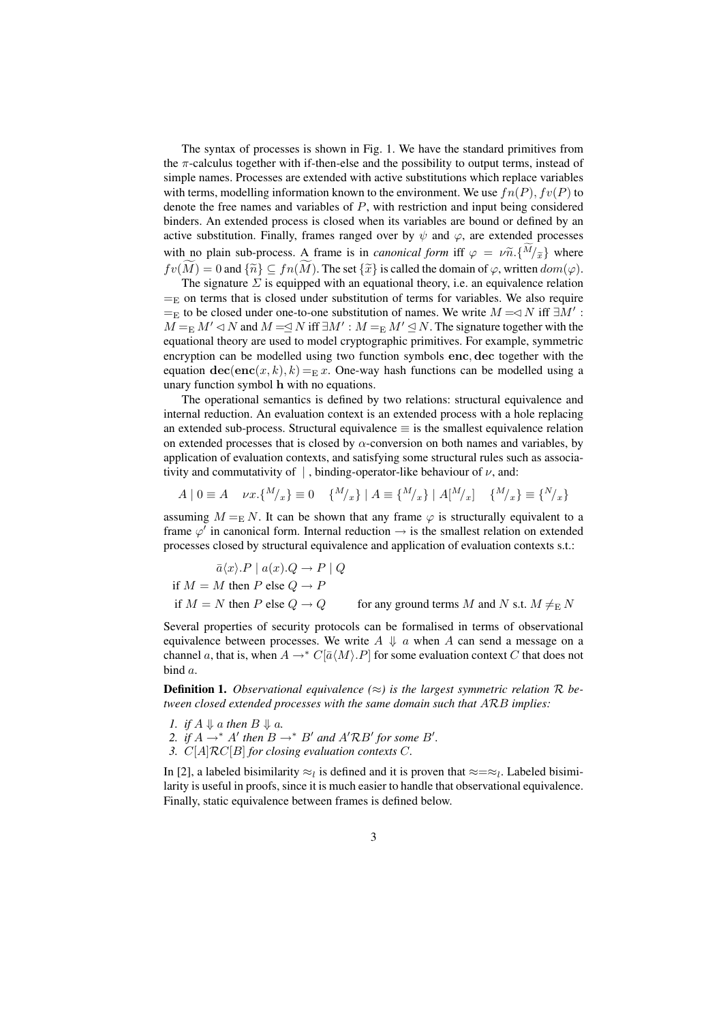The syntax of processes is shown in Fig. 1. We have the standard primitives from the  $\pi$ -calculus together with if-then-else and the possibility to output terms, instead of simple names. Processes are extended with active substitutions which replace variables with terms, modelling information known to the environment. We use  $fn(P)$ ,  $fv(P)$  to denote the free names and variables of P, with restriction and input being considered binders. An extended process is closed when its variables are bound or defined by an active substitution. Finally, frames ranged over by  $\psi$  and  $\varphi$ , are extended processes with no plain sub-process. A frame is in *canonical form* iff  $\varphi = \nu \tilde{n} \cdot {\tilde{M}}/\tilde{x}$  where  $fv(\widetilde{M}) = 0$  and  $\{\widetilde{n}\} \subseteq fn(\widetilde{M})$ . The set  $\{\widetilde{x}\}$  is called the domain of  $\varphi$ , written  $dom(\varphi)$ .

The signature  $\Sigma$  is equipped with an equational theory, i.e. an equivalence relation  $=$  $E$  on terms that is closed under substitution of terms for variables. We also require  $=$ <sub>E</sub> to be closed under one-to-one substitution of names. We write  $M = \lhd N$  iff  $\exists M'$ :  $M =_{\text{E}} M' \triangleleft N$  and  $M = \triangleleft N$  iff  $\exists M' : M =_{\text{E}} M' \triangleleft N$ . The signature together with the equational theory are used to model cryptographic primitives. For example, symmetric encryption can be modelled using two function symbols enc, dec together with the equation  $\text{dec}(\text{enc}(x, k), k) =_{E} x$ . One-way hash functions can be modelled using a unary function symbol h with no equations.

The operational semantics is defined by two relations: structural equivalence and internal reduction. An evaluation context is an extended process with a hole replacing an extended sub-process. Structural equivalence  $\equiv$  is the smallest equivalence relation on extended processes that is closed by  $\alpha$ -conversion on both names and variables, by application of evaluation contexts, and satisfying some structural rules such as associativity and commutativity of  $\vert$ , binding-operator-like behaviour of  $\nu$ , and:

$$
A | 0 \equiv A \quad \nu x. \{^{M}/_{x}\} \equiv 0 \quad \{^{M}/_{x}\} | A \equiv \{^{M}/_{x}\} | A[^{M}/_{x}] \quad \{^{M}/_{x}\} \equiv \{^{N}/_{x}\}
$$

assuming  $M =_{\rm E} N$ . It can be shown that any frame  $\varphi$  is structurally equivalent to a frame  $\varphi'$  in canonical form. Internal reduction  $\rightarrow$  is the smallest relation on extended processes closed by structural equivalence and application of evaluation contexts s.t.:

$$
\bar{a}\langle x\rangle.P \mid a(x).Q \to P \mid Q
$$
  
if  $M = M$  then P else  $Q \to P$   
if  $M = N$  then P else  $Q \to Q$  for any ground terms M and N s.t.  $M \neq_{E} N$ 

Several properties of security protocols can be formalised in terms of observational equivalence between processes. We write  $A \Downarrow a$  when A can send a message on a channel a, that is, when  $A \to C[\bar{a}(M), P]$  for some evaluation context C that does not bind  $a$ .

**Definition 1.** *Observational equivalence*  $(\approx)$  *is the largest symmetric relation*  $\mathcal{R}$  *between closed extended processes with the same domain such that* ARB *implies:*

- *1. if*  $A \Downarrow a$  *then*  $B \Downarrow a$ *.*
- 2. if  $A \rightarrow^* A'$  then  $B \rightarrow^* B'$  and  $A' \mathcal{R} B'$  for some  $B'$ .
- *3.* C[A]RC[B] *for closing evaluation contexts* C*.*

In [2], a labeled bisimilarity  $\approx_l$  is defined and it is proven that  $\approx=\approx_l$ . Labeled bisimilarity is useful in proofs, since it is much easier to handle that observational equivalence. Finally, static equivalence between frames is defined below.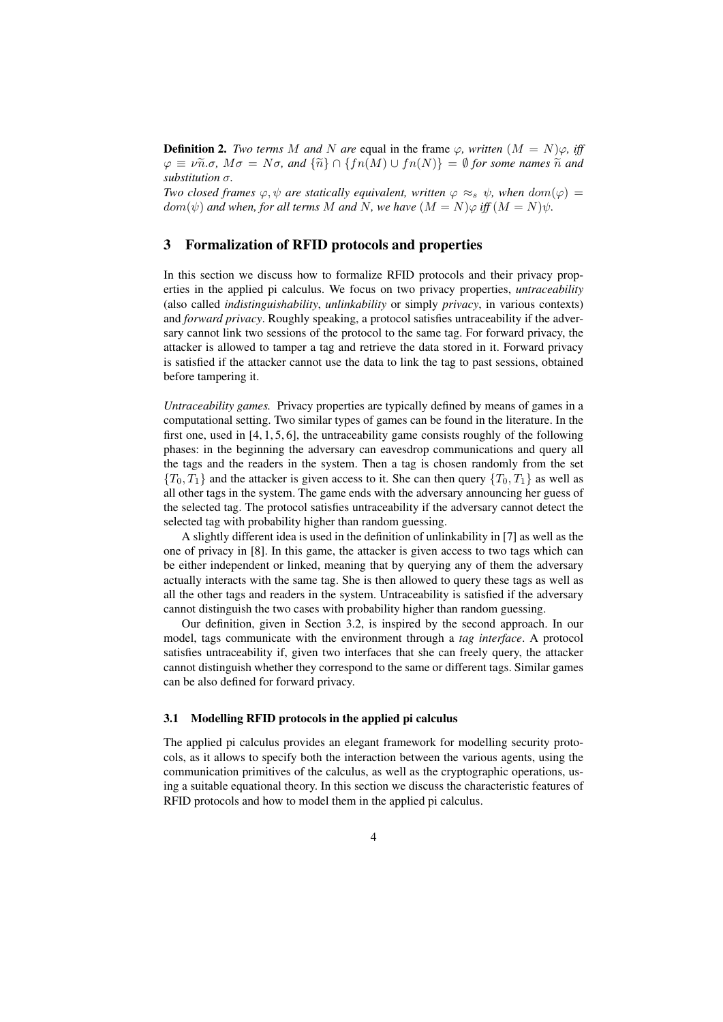**Definition 2.** *Two terms* M *and* N *are* equal in the frame  $\varphi$ *, written*  $(M = N)\varphi$ *, iff*  $\varphi \equiv \nu \tilde{n} \cdot \sigma$ ,  $M\sigma = N\sigma$ , and  $\{\tilde{n}\} \cap \{fn(M) \cup fn(N)\} = \emptyset$  for some names  $\tilde{n}$  and *substitution* σ*.*

*Two closed frames*  $\varphi, \psi$  *are statically equivalent, written*  $\varphi \approx_s \psi$ *, when*  $dom(\varphi)$  =  $dom(\psi)$  *and when, for all terms* M *and* N, we have  $(M = N)\varphi$  *iff*  $(M = N)\psi$ .

## 3 Formalization of RFID protocols and properties

In this section we discuss how to formalize RFID protocols and their privacy properties in the applied pi calculus. We focus on two privacy properties, *untraceability* (also called *indistinguishability*, *unlinkability* or simply *privacy*, in various contexts) and *forward privacy*. Roughly speaking, a protocol satisfies untraceability if the adversary cannot link two sessions of the protocol to the same tag. For forward privacy, the attacker is allowed to tamper a tag and retrieve the data stored in it. Forward privacy is satisfied if the attacker cannot use the data to link the tag to past sessions, obtained before tampering it.

*Untraceability games.* Privacy properties are typically defined by means of games in a computational setting. Two similar types of games can be found in the literature. In the first one, used in [4, 1, 5, 6], the untraceability game consists roughly of the following phases: in the beginning the adversary can eavesdrop communications and query all the tags and the readers in the system. Then a tag is chosen randomly from the set  ${T_0, T_1}$  and the attacker is given access to it. She can then query  ${T_0, T_1}$  as well as all other tags in the system. The game ends with the adversary announcing her guess of the selected tag. The protocol satisfies untraceability if the adversary cannot detect the selected tag with probability higher than random guessing.

A slightly different idea is used in the definition of unlinkability in [7] as well as the one of privacy in [8]. In this game, the attacker is given access to two tags which can be either independent or linked, meaning that by querying any of them the adversary actually interacts with the same tag. She is then allowed to query these tags as well as all the other tags and readers in the system. Untraceability is satisfied if the adversary cannot distinguish the two cases with probability higher than random guessing.

Our definition, given in Section 3.2, is inspired by the second approach. In our model, tags communicate with the environment through a *tag interface*. A protocol satisfies untraceability if, given two interfaces that she can freely query, the attacker cannot distinguish whether they correspond to the same or different tags. Similar games can be also defined for forward privacy.

#### 3.1 Modelling RFID protocols in the applied pi calculus

The applied pi calculus provides an elegant framework for modelling security protocols, as it allows to specify both the interaction between the various agents, using the communication primitives of the calculus, as well as the cryptographic operations, using a suitable equational theory. In this section we discuss the characteristic features of RFID protocols and how to model them in the applied pi calculus.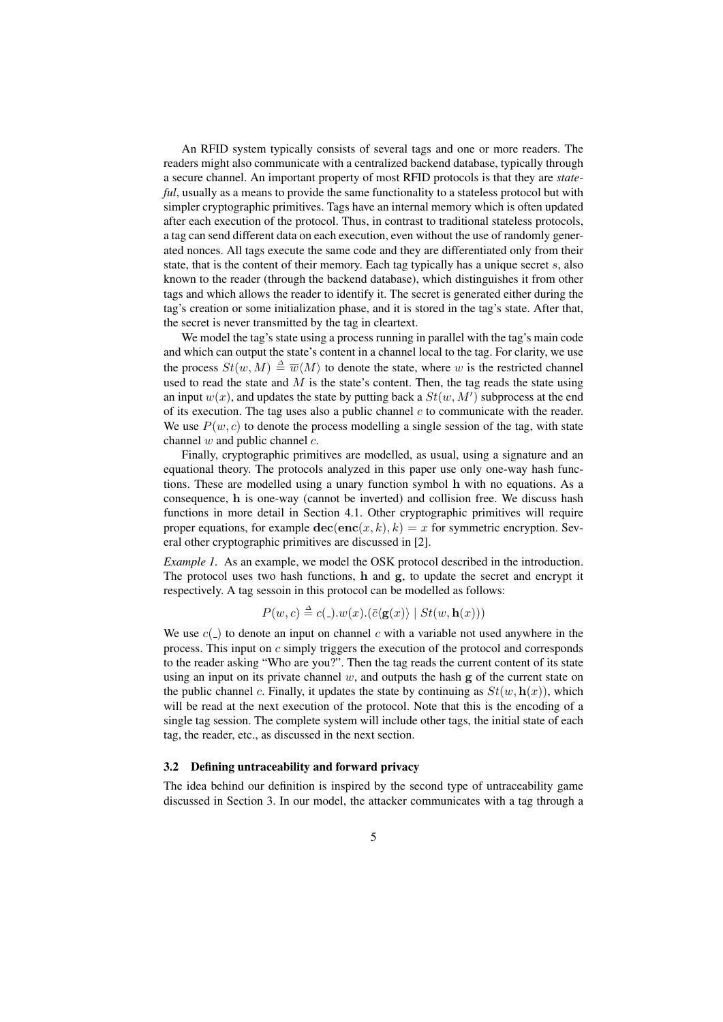An RFID system typically consists of several tags and one or more readers. The readers might also communicate with a centralized backend database, typically through a secure channel. An important property of most RFID protocols is that they are *stateful*, usually as a means to provide the same functionality to a stateless protocol but with simpler cryptographic primitives. Tags have an internal memory which is often updated after each execution of the protocol. Thus, in contrast to traditional stateless protocols, a tag can send different data on each execution, even without the use of randomly generated nonces. All tags execute the same code and they are differentiated only from their state, that is the content of their memory. Each tag typically has a unique secret  $s$ , also known to the reader (through the backend database), which distinguishes it from other tags and which allows the reader to identify it. The secret is generated either during the tag's creation or some initialization phase, and it is stored in the tag's state. After that, the secret is never transmitted by the tag in cleartext.

We model the tag's state using a process running in parallel with the tag's main code and which can output the state's content in a channel local to the tag. For clarity, we use the process  $St(w, M) \triangleq \overline{w}(M)$  to denote the state, where w is the restricted channel used to read the state and  $M$  is the state's content. Then, the tag reads the state using an input  $w(x)$ , and updates the state by putting back a  $St(w, M')$  subprocess at the end of its execution. The tag uses also a public channel  $c$  to communicate with the reader. We use  $P(w, c)$  to denote the process modelling a single session of the tag, with state channel  $w$  and public channel  $c$ .

Finally, cryptographic primitives are modelled, as usual, using a signature and an equational theory. The protocols analyzed in this paper use only one-way hash functions. These are modelled using a unary function symbol h with no equations. As a consequence, h is one-way (cannot be inverted) and collision free. We discuss hash functions in more detail in Section 4.1. Other cryptographic primitives will require proper equations, for example  $\text{dec}(\text{enc}(x, k), k) = x$  for symmetric encryption. Several other cryptographic primitives are discussed in [2].

*Example 1.* As an example, we model the OSK protocol described in the introduction. The protocol uses two hash functions,  $h$  and  $g$ , to update the secret and encrypt it respectively. A tag sessoin in this protocol can be modelled as follows:

$$
P(w, c) \stackrel{\Delta}{=} c(.).w(x).(\bar{c}\langle \mathbf{g}(x) \rangle \mid St(w, \mathbf{h}(x)))
$$

We use  $c(\_)$  to denote an input on channel c with a variable not used anywhere in the process. This input on c simply triggers the execution of the protocol and corresponds to the reader asking "Who are you?". Then the tag reads the current content of its state using an input on its private channel w, and outputs the hash g of the current state on the public channel c. Finally, it updates the state by continuing as  $St(w, h(x))$ , which will be read at the next execution of the protocol. Note that this is the encoding of a single tag session. The complete system will include other tags, the initial state of each tag, the reader, etc., as discussed in the next section.

### 3.2 Defining untraceability and forward privacy

The idea behind our definition is inspired by the second type of untraceability game discussed in Section 3. In our model, the attacker communicates with a tag through a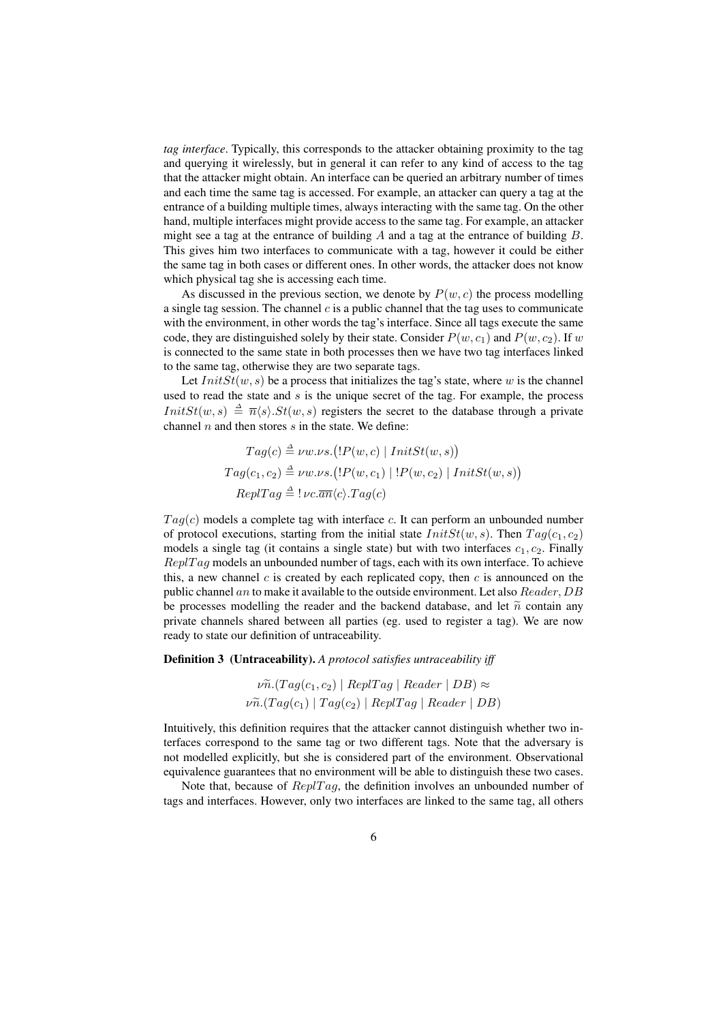*tag interface*. Typically, this corresponds to the attacker obtaining proximity to the tag and querying it wirelessly, but in general it can refer to any kind of access to the tag that the attacker might obtain. An interface can be queried an arbitrary number of times and each time the same tag is accessed. For example, an attacker can query a tag at the entrance of a building multiple times, always interacting with the same tag. On the other hand, multiple interfaces might provide access to the same tag. For example, an attacker might see a tag at the entrance of building  $A$  and a tag at the entrance of building  $B$ . This gives him two interfaces to communicate with a tag, however it could be either the same tag in both cases or different ones. In other words, the attacker does not know which physical tag she is accessing each time.

As discussed in the previous section, we denote by  $P(w, c)$  the process modelling a single tag session. The channel  $c$  is a public channel that the tag uses to communicate with the environment, in other words the tag's interface. Since all tags execute the same code, they are distinguished solely by their state. Consider  $P(w, c_1)$  and  $P(w, c_2)$ . If w is connected to the same state in both processes then we have two tag interfaces linked to the same tag, otherwise they are two separate tags.

Let  $InitSt(w, s)$  be a process that initializes the tag's state, where w is the channel used to read the state and  $s$  is the unique secret of the tag. For example, the process  $InitSt(w, s) \triangleq \overline{n}\langle s \rangle St(w, s)$  registers the secret to the database through a private channel  $n$  and then stores  $s$  in the state. We define:

$$
Tag(c) \stackrel{\Delta}{=} \nu w.\nu s. (P(w, c) | InitSt(w, s))
$$
  

$$
Tag(c_1, c_2) \stackrel{\Delta}{=} \nu w.\nu s. (P(w, c_1) | !P(w, c_2) | InitSt(w, s))
$$
  

$$
RepTag \stackrel{\Delta}{=} ! \nu c. \overline{an} \langle c \rangle . Tag(c)
$$

 $Tag(c)$  models a complete tag with interface c. It can perform an unbounded number of protocol executions, starting from the initial state  $InitSt(w, s)$ . Then  $Tag(c_1, c_2)$ models a single tag (it contains a single state) but with two interfaces  $c_1, c_2$ . Finally  $ReplTag$  models an unbounded number of tags, each with its own interface. To achieve this, a new channel c is created by each replicated copy, then c is announced on the public channel an to make it available to the outside environment. Let also  $Reader$ , DB be processes modelling the reader and the backend database, and let  $\tilde{n}$  contain any private channels shared between all parties (eg. used to register a tag). We are now ready to state our definition of untraceability.

#### Definition 3 (Untraceability). *A protocol satisfies untraceability iff*

$$
\nu \widetilde{n}.(Tag(c_1, c_2) | ReplTag | Reader | DB) \approx
$$
  

$$
\nu \widetilde{n}.(Tag(c_1) | Tag(c_2) | ReplTag | Reader | DB)
$$

Intuitively, this definition requires that the attacker cannot distinguish whether two interfaces correspond to the same tag or two different tags. Note that the adversary is not modelled explicitly, but she is considered part of the environment. Observational equivalence guarantees that no environment will be able to distinguish these two cases.

Note that, because of  $ReplTag$ , the definition involves an unbounded number of tags and interfaces. However, only two interfaces are linked to the same tag, all others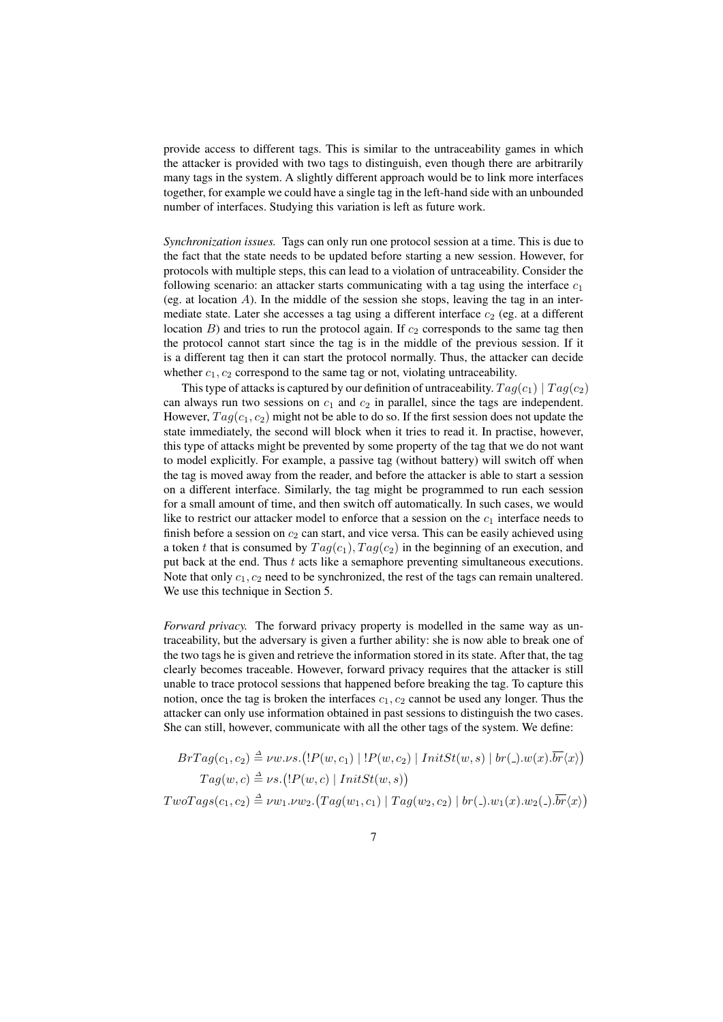provide access to different tags. This is similar to the untraceability games in which the attacker is provided with two tags to distinguish, even though there are arbitrarily many tags in the system. A slightly different approach would be to link more interfaces together, for example we could have a single tag in the left-hand side with an unbounded number of interfaces. Studying this variation is left as future work.

*Synchronization issues.* Tags can only run one protocol session at a time. This is due to the fact that the state needs to be updated before starting a new session. However, for protocols with multiple steps, this can lead to a violation of untraceability. Consider the following scenario: an attacker starts communicating with a tag using the interface  $c_1$ (eg. at location  $A$ ). In the middle of the session she stops, leaving the tag in an intermediate state. Later she accesses a tag using a different interface  $c_2$  (eg. at a different location B) and tries to run the protocol again. If  $c_2$  corresponds to the same tag then the protocol cannot start since the tag is in the middle of the previous session. If it is a different tag then it can start the protocol normally. Thus, the attacker can decide whether  $c_1$ ,  $c_2$  correspond to the same tag or not, violating untraceability.

This type of attacks is captured by our definition of untraceability.  $Tag(c_1) | Tag(c_2)$ can always run two sessions on  $c_1$  and  $c_2$  in parallel, since the tags are independent. However,  $Tag(c_1, c_2)$  might not be able to do so. If the first session does not update the state immediately, the second will block when it tries to read it. In practise, however, this type of attacks might be prevented by some property of the tag that we do not want to model explicitly. For example, a passive tag (without battery) will switch off when the tag is moved away from the reader, and before the attacker is able to start a session on a different interface. Similarly, the tag might be programmed to run each session for a small amount of time, and then switch off automatically. In such cases, we would like to restrict our attacker model to enforce that a session on the  $c_1$  interface needs to finish before a session on  $c_2$  can start, and vice versa. This can be easily achieved using a token t that is consumed by  $Tag(c_1), Tag(c_2)$  in the beginning of an execution, and put back at the end. Thus  $t$  acts like a semaphore preventing simultaneous executions. Note that only  $c_1, c_2$  need to be synchronized, the rest of the tags can remain unaltered. We use this technique in Section 5.

*Forward privacy.* The forward privacy property is modelled in the same way as untraceability, but the adversary is given a further ability: she is now able to break one of the two tags he is given and retrieve the information stored in its state. After that, the tag clearly becomes traceable. However, forward privacy requires that the attacker is still unable to trace protocol sessions that happened before breaking the tag. To capture this notion, once the tag is broken the interfaces  $c_1$ ,  $c_2$  cannot be used any longer. Thus the attacker can only use information obtained in past sessions to distinguish the two cases. She can still, however, communicate with all the other tags of the system. We define:

$$
BrTag(c_1, c_2) \stackrel{\Delta}{=} \nu w.\nu s. (P(w, c_1) | P(w, c_2) | InitSt(w, s) | br(.).w(x). \overline{br} \langle x \rangle)
$$
  

$$
Tag(w, c) \stackrel{\Delta}{=} \nu s. (P(w, c) | InitSt(w, s))
$$
  

$$
TwoTags(c_1, c_2) \stackrel{\Delta}{=} \nu w_1.\nu w_2. (Tag(w_1, c_1) | Tag(w_2, c_2) | br(.).w_1(x).w_2(.).\overline{br} \langle x \rangle)
$$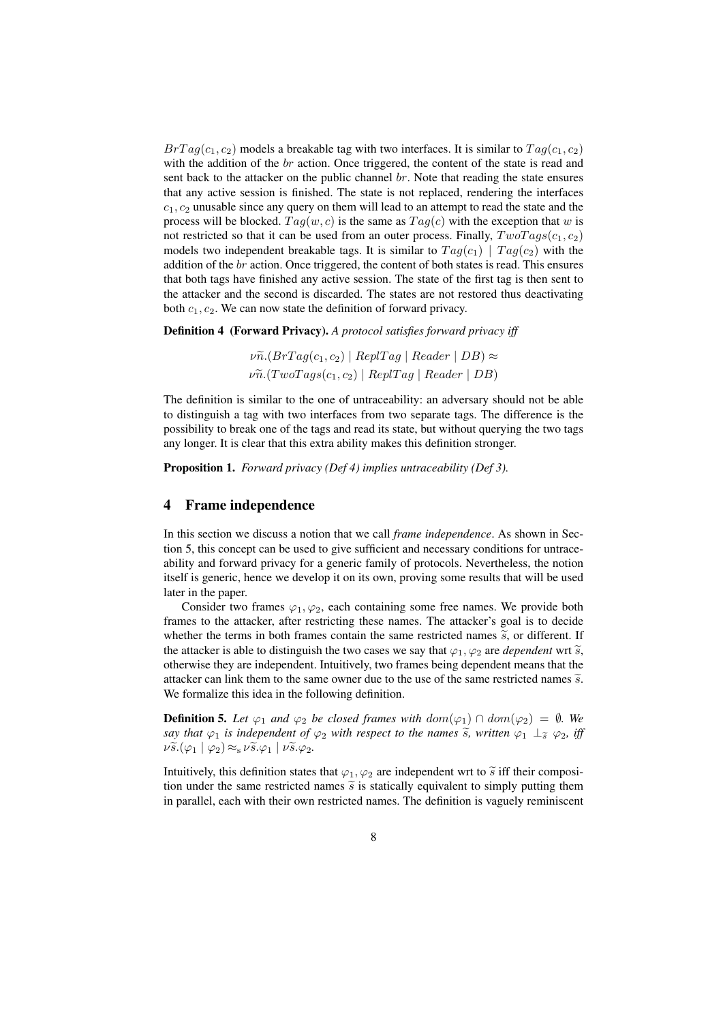$BrTag(c_1, c_2)$  models a breakable tag with two interfaces. It is similar to  $Tag(c_1, c_2)$ with the addition of the br action. Once triggered, the content of the state is read and sent back to the attacker on the public channel  $br$ . Note that reading the state ensures that any active session is finished. The state is not replaced, rendering the interfaces  $c_1, c_2$  unusable since any query on them will lead to an attempt to read the state and the process will be blocked.  $Tag(w, c)$  is the same as  $Tag(c)$  with the exception that w is not restricted so that it can be used from an outer process. Finally,  $TwoTags(c_1, c_2)$ models two independent breakable tags. It is similar to  $Tag(c_1) | Tag(c_2)$  with the addition of the br action. Once triggered, the content of both states is read. This ensures that both tags have finished any active session. The state of the first tag is then sent to the attacker and the second is discarded. The states are not restored thus deactivating both  $c_1, c_2$ . We can now state the definition of forward privacy.

Definition 4 (Forward Privacy). *A protocol satisfies forward privacy iff*

 $\nu \widetilde{n}.(BrTag(c_1, c_2) | ReplTag | Reader | DB) \approx$  $\nu \widetilde{n}. (TwoTags(c_1, c_2) | ReplTag | Reader | DB)$ 

The definition is similar to the one of untraceability: an adversary should not be able to distinguish a tag with two interfaces from two separate tags. The difference is the possibility to break one of the tags and read its state, but without querying the two tags any longer. It is clear that this extra ability makes this definition stronger.

Proposition 1. *Forward privacy (Def 4) implies untraceability (Def 3).*

### 4 Frame independence

In this section we discuss a notion that we call *frame independence*. As shown in Section 5, this concept can be used to give sufficient and necessary conditions for untraceability and forward privacy for a generic family of protocols. Nevertheless, the notion itself is generic, hence we develop it on its own, proving some results that will be used later in the paper.

Consider two frames  $\varphi_1, \varphi_2$ , each containing some free names. We provide both frames to the attacker, after restricting these names. The attacker's goal is to decide whether the terms in both frames contain the same restricted names  $\tilde{s}$ , or different. If the attacker is able to distinguish the two cases we say that  $\varphi_1, \varphi_2$  are *dependent* wrt  $\tilde{s}$ , otherwise they are independent. Intuitively, two frames being dependent means that the attacker can link them to the same owner due to the use of the same restricted names  $\tilde{s}$ . We formalize this idea in the following definition.

**Definition 5.** Let  $\varphi_1$  and  $\varphi_2$  be closed frames with  $dom(\varphi_1) \cap dom(\varphi_2) = \emptyset$ . We *say that*  $\varphi_1$  *is independent of*  $\varphi_2$  *with respect to the names*  $\tilde{s}$ *, written*  $\varphi_1 \perp_{\tilde{s}} \varphi_2$ *, iff*  $\nu \widetilde{s}. (\varphi_1 \mid \varphi_2) \approx_{\mathrm{s}} \nu \widetilde{s}. \varphi_1 \mid \nu \widetilde{s}. \varphi_2.$ 

Intuitively, this definition states that  $\varphi_1, \varphi_2$  are independent wrt to  $\tilde{s}$  iff their composition under the same restricted names  $\tilde{s}$  is statically equivalent to simply putting them in parallel, each with their own restricted names. The definition is vaguely reminiscent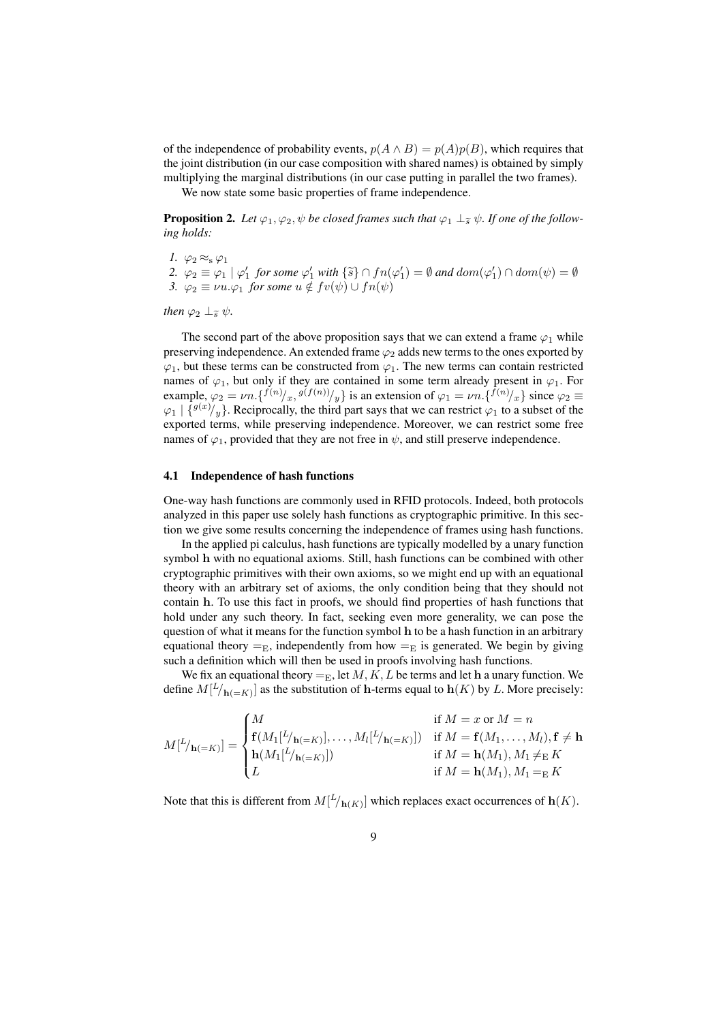of the independence of probability events,  $p(A \wedge B) = p(A)p(B)$ , which requires that the joint distribution (in our case composition with shared names) is obtained by simply multiplying the marginal distributions (in our case putting in parallel the two frames).

We now state some basic properties of frame independence.

**Proposition 2.** Let  $\varphi_1, \varphi_2, \psi$  be closed frames such that  $\varphi_1 \perp_{\widetilde{\mathcal{S}}} \psi$ . If one of the follow*ing holds:*

- *1.*  $\varphi_2 \approx$ <sub>s</sub> $\varphi_1$
- 2.  $\varphi_2 \equiv \varphi_1 \mid \varphi_1'$  *for some*  $\varphi_1'$  *with*  $\{\tilde{s}\} \cap fn(\varphi_1') = \emptyset$  *and*  $dom(\varphi_1') \cap dom(\psi) = \emptyset$ <br>
3.  $\varphi_2 = \psi_1 \circ \varphi_2$  for some  $\psi \notin f_2(\varphi_1) \cup f_2(\varphi_1')$
- *3.*  $\varphi_2 \equiv \nu u.\varphi_1$  *for some*  $u \notin f v(\psi) \cup f n(\psi)$

*then*  $\varphi_2 \perp_{\widetilde{\mathcal{S}}} \psi$ *.* 

The second part of the above proposition says that we can extend a frame  $\varphi_1$  while preserving independence. An extended frame  $\varphi_2$  adds new terms to the ones exported by  $\varphi_1$ , but these terms can be constructed from  $\varphi_1$ . The new terms can contain restricted names of  $\varphi_1$ , but only if they are contained in some term already present in  $\varphi_1$ . For example,  $\varphi_2 = \nu n. \{f^{(n)}(x, g^{(f(n))}/y)\}$  is an extension of  $\varphi_1 = \nu n. \{f^{(n)}(x)\}$  since  $\varphi_2 \equiv$  $\varphi_1$  |  $\{g^{(x)}\}_y$ . Reciprocally, the third part says that we can restrict  $\varphi_1$  to a subset of the exported terms, while preserving independence. Moreover, we can restrict some free names of  $\varphi_1$ , provided that they are not free in  $\psi$ , and still preserve independence.

### 4.1 Independence of hash functions

One-way hash functions are commonly used in RFID protocols. Indeed, both protocols analyzed in this paper use solely hash functions as cryptographic primitive. In this section we give some results concerning the independence of frames using hash functions.

In the applied pi calculus, hash functions are typically modelled by a unary function symbol h with no equational axioms. Still, hash functions can be combined with other cryptographic primitives with their own axioms, so we might end up with an equational theory with an arbitrary set of axioms, the only condition being that they should not contain h. To use this fact in proofs, we should find properties of hash functions that hold under any such theory. In fact, seeking even more generality, we can pose the question of what it means for the function symbol h to be a hash function in an arbitrary equational theory  $=_E$ , independently from how  $=_E$  is generated. We begin by giving such a definition which will then be used in proofs involving hash functions.

We fix an equational theory  $=_E$ , let M, K, L be terms and let h a unary function. We define  $M[{^L}/_{\mathbf{h} (=K)}]$  as the substitution of h-terms equal to  $\mathbf{h}(K)$  by L. More precisely:

$$
M\left[\begin{matrix}L_{\mathbf{h}(-K)}\end{matrix}\right] = \begin{cases} M & \text{if } M = x \text{ or } M = n \\ \mathbf{f}(M_1\left[\begin{matrix}L_{\mathbf{h}(-K)}\end{matrix}\right], \dots, M_l\left[\begin{matrix}L_{\mathbf{h}(-K)}\end{matrix}\right]) & \text{if } M = \mathbf{f}(M_1, \dots, M_l), \mathbf{f} \neq \mathbf{h} \\ \mathbf{h}(M_1\left[\begin{matrix}L_{\mathbf{h}(-K)}\end{matrix}\right]) & \text{if } M = \mathbf{h}(M_1), M_1 \neq_{\mathbf{E}} K \\ \text{if } M = \mathbf{h}(M_1), M_1 =_{\mathbf{E}} K \end{cases}
$$

Note that this is different from  $M[{^L}\!/_{\mathbf{h}(K)}]$  which replaces exact occurrences of  $\mathbf{h}(K)$ .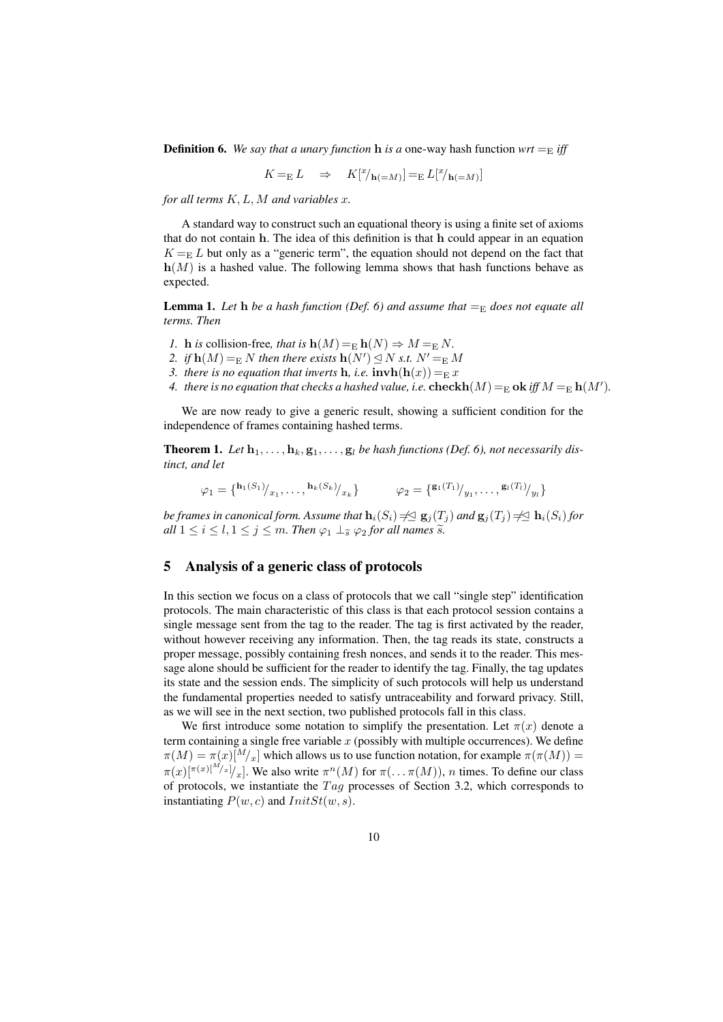**Definition 6.** We say that a unary function **h** is a one-way hash function  $wrt = E$  iff

$$
K =_{\mathcal{E}} L \quad \Rightarrow \quad K[{}^{x}/{}_{\mathbf{h} (=M)}] =_{\mathcal{E}} L[{}^{x}/{}_{\mathbf{h} (=M)}]
$$

*for all terms* K, L, M *and variables* x*.*

A standard way to construct such an equational theory is using a finite set of axioms that do not contain h. The idea of this definition is that h could appear in an equation  $K = E L$  but only as a "generic term", the equation should not depend on the fact that  $h(M)$  is a hashed value. The following lemma shows that hash functions behave as expected.

**Lemma 1.** Let **h** be a hash function (Def. 6) and assume that  $=$ <sub>E</sub> does not equate all *terms. Then*

- *1.* h *is* collision-free, that is  $h(M) = E(h(N)) \Rightarrow M = E(N)$ .
- 2. if  $\mathbf{h}(M) =_{\text{E}} N$  then there exists  $\mathbf{h}(N') \trianglelefteq N$  s.t.  $N' =_{\text{E}} M$
- *3. there is no equation that inverts* **h**, *i.e.* **invh** $(h(x)) = E x$
- 4. there is no equation that checks a hashed value, i.e.  $\mathbf{checkh}(M) =_{\mathrm{E}} \mathbf{ok}$  iff  $M =_{\mathrm{E}} \mathbf{h}(M').$

We are now ready to give a generic result, showing a sufficient condition for the independence of frames containing hashed terms.

**Theorem 1.** Let  $\mathbf{h}_1, \ldots, \mathbf{h}_k, \mathbf{g}_1, \ldots, \mathbf{g}_l$  be hash functions (Def. 6), not necessarily dis*tinct, and let*

$$
\varphi_1 = \{ \mathbf{h}_1(S_1) /_{x_1}, \dots, \mathbf{h}_k(S_k) /_{x_k} \} \qquad \varphi_2 = \{ \mathbf{g}_1(T_1) /_{y_1}, \dots, \mathbf{g}_l(T_l) /_{y_l} \}
$$

*be frames in canonical form. Assume that*  $\mathbf{h}_i(S_i) \neq \mathbf{g}_i(T_i)$  *and*  $\mathbf{g}_i(T_i) \neq \mathbf{h}_i(S_i)$  *for all*  $1 \leq i \leq l$ ,  $1 \leq j \leq m$ *. Then*  $\varphi_1 \perp_{\widetilde{\sigma}} \varphi_2$  *for all names*  $\widetilde{s}$ *.* 

## 5 Analysis of a generic class of protocols

In this section we focus on a class of protocols that we call "single step" identification protocols. The main characteristic of this class is that each protocol session contains a single message sent from the tag to the reader. The tag is first activated by the reader, without however receiving any information. Then, the tag reads its state, constructs a proper message, possibly containing fresh nonces, and sends it to the reader. This message alone should be sufficient for the reader to identify the tag. Finally, the tag updates its state and the session ends. The simplicity of such protocols will help us understand the fundamental properties needed to satisfy untraceability and forward privacy. Still, as we will see in the next section, two published protocols fall in this class.

We first introduce some notation to simplify the presentation. Let  $\pi(x)$  denote a term containing a single free variable  $x$  (possibly with multiple occurrences). We define  $\pi(M) = \pi(x)[M/x]$  which allows us to use function notation, for example  $\pi(\pi(M)) =$  $\pi(x)[\pi(x)]^{M/x}$ ]. We also write  $\pi^{n}(M)$  for  $\pi(\dots \pi(M))$ , *n* times. To define our class of protocols, we instantiate the  $Taq$  processes of Section 3.2, which corresponds to instantiating  $P(w, c)$  and  $InitSt(w, s)$ .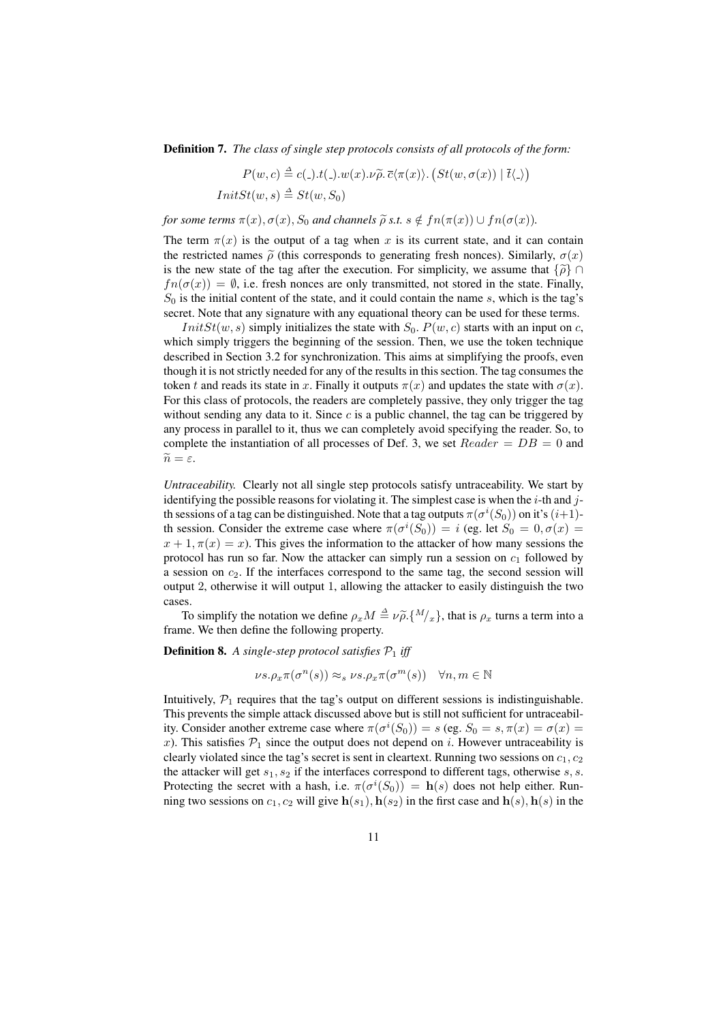Definition 7. *The class of single step protocols consists of all protocols of the form:*

$$
P(w, c) \stackrel{\Delta}{=} c(\text{.}).t(\text{.}).w(x).\nu\widetilde{\rho}. \overline{c}\langle\pi(x)\rangle. (St(w, \sigma(x)) | \overline{t}\langle\text{.}\rangle)
$$
  
InitSt(w, s) 
$$
\stackrel{\Delta}{=} St(w, S_0)
$$

*for some terms*  $\pi(x)$ ,  $\sigma(x)$ ,  $S_0$  *and channels*  $\tilde{\rho}$  *s.t.*  $s \notin fn(\pi(x)) \cup fn(\sigma(x))$ *.* 

The term  $\pi(x)$  is the output of a tag when x is its current state, and it can contain the restricted names  $\tilde{\rho}$  (this corresponds to generating fresh nonces). Similarly,  $\sigma(x)$ is the new state of the tag after the execution. For simplicity, we assume that  $\{\tilde{\rho}\}\cap$  $fn(\sigma(x)) = \emptyset$ , i.e. fresh nonces are only transmitted, not stored in the state. Finally,  $S_0$  is the initial content of the state, and it could contain the name s, which is the tag's secret. Note that any signature with any equational theory can be used for these terms.

 $InitSt(w, s)$  simply initializes the state with  $S_0$ .  $P(w, c)$  starts with an input on c, which simply triggers the beginning of the session. Then, we use the token technique described in Section 3.2 for synchronization. This aims at simplifying the proofs, even though it is not strictly needed for any of the results in this section. The tag consumes the token t and reads its state in x. Finally it outputs  $\pi(x)$  and updates the state with  $\sigma(x)$ . For this class of protocols, the readers are completely passive, they only trigger the tag without sending any data to it. Since  $c$  is a public channel, the tag can be triggered by any process in parallel to it, thus we can completely avoid specifying the reader. So, to complete the instantiation of all processes of Def. 3, we set  $Reader = DB = 0$  and  $\widetilde{n} = \varepsilon.$ 

*Untraceability.* Clearly not all single step protocols satisfy untraceability. We start by identifying the possible reasons for violating it. The simplest case is when the  $i$ -th and  $j$ th sessions of a tag can be distinguished. Note that a tag outputs  $\pi(\sigma^i(S_0))$  on it's  $(i+1)$ th session. Consider the extreme case where  $\pi(\sigma^i(S_0)) = i$  (eg. let  $S_0 = 0, \sigma(x) = 0$  $x + 1, \pi(x) = x$ ). This gives the information to the attacker of how many sessions the protocol has run so far. Now the attacker can simply run a session on  $c_1$  followed by a session on  $c_2$ . If the interfaces correspond to the same tag, the second session will output 2, otherwise it will output 1, allowing the attacker to easily distinguish the two cases.

To simplify the notation we define  $\rho_x M \stackrel{\Delta}{=} \nu \tilde{\rho}$ ,  $\{M/x\}$ , that is  $\rho_x$  turns a term into a frame. We then define the following property.

**Definition 8.** A single-step protocol satisfies  $P_1$  iff

$$
\nu s.\rho_x \pi(\sigma^n(s)) \approx_s \nu s.\rho_x \pi(\sigma^m(s)) \quad \forall n, m \in \mathbb{N}
$$

Intuitively,  $P_1$  requires that the tag's output on different sessions is indistinguishable. This prevents the simple attack discussed above but is still not sufficient for untraceability. Consider another extreme case where  $\pi(\sigma^i(S_0)) = s$  (eg.  $S_0 = s, \pi(x) = \sigma(x) = s$ ) x). This satisfies  $P_1$  since the output does not depend on i. However untraceability is clearly violated since the tag's secret is sent in cleartext. Running two sessions on  $c_1, c_2$ the attacker will get  $s_1, s_2$  if the interfaces correspond to different tags, otherwise  $s, s$ . Protecting the secret with a hash, i.e.  $\pi(\sigma^i(S_0)) = \mathbf{h}(s)$  does not help either. Running two sessions on  $c_1, c_2$  will give  $h(s_1), h(s_2)$  in the first case and  $h(s), h(s)$  in the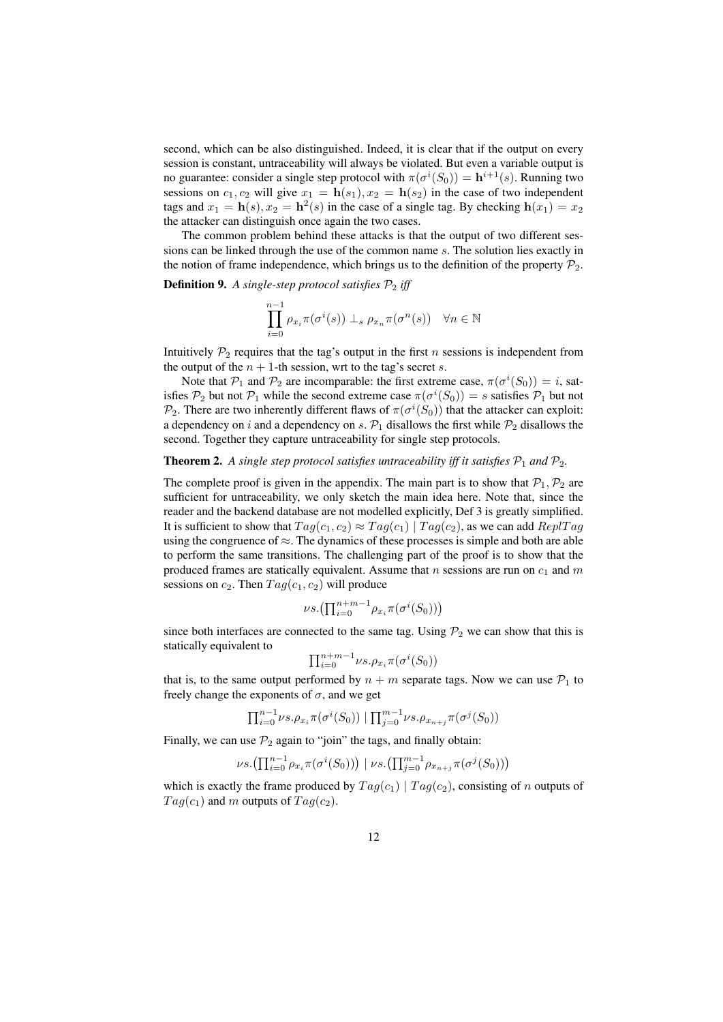second, which can be also distinguished. Indeed, it is clear that if the output on every session is constant, untraceability will always be violated. But even a variable output is no guarantee: consider a single step protocol with  $\pi(\sigma^i(S_0)) = \mathbf{h}^{i+1}(s)$ . Running two sessions on  $c_1, c_2$  will give  $x_1 = \mathbf{h}(s_1), x_2 = \mathbf{h}(s_2)$  in the case of two independent tags and  $x_1 = h(s)$ ,  $x_2 = h^2(s)$  in the case of a single tag. By checking  $h(x_1) = x_2$ the attacker can distinguish once again the two cases.

The common problem behind these attacks is that the output of two different sessions can be linked through the use of the common name s. The solution lies exactly in the notion of frame independence, which brings us to the definition of the property  $P_2$ .

**Definition 9.** A single-step protocol satisfies  $\mathcal{P}_2$  iff

$$
\prod_{i=0}^{n-1} \rho_{x_i} \pi(\sigma^i(s)) \perp_s \rho_{x_n} \pi(\sigma^n(s)) \quad \forall n \in \mathbb{N}
$$

Intuitively  $P_2$  requires that the tag's output in the first n sessions is independent from the output of the  $n + 1$ -th session, wrt to the tag's secret s.

Note that  $P_1$  and  $P_2$  are incomparable: the first extreme case,  $\pi(\sigma^i(S_0)) = i$ , satisfies  $P_2$  but not  $P_1$  while the second extreme case  $\pi(\sigma^i(S_0)) = s$  satisfies  $P_1$  but not  $\mathcal{P}_2$ . There are two inherently different flaws of  $\pi(\sigma^i(S_0))$  that the attacker can exploit: a dependency on i and a dependency on s.  $\mathcal{P}_1$  disallows the first while  $\mathcal{P}_2$  disallows the second. Together they capture untraceability for single step protocols.

### **Theorem 2.** A single step protocol satisfies untraceability iff it satisfies  $P_1$  and  $P_2$ .

The complete proof is given in the appendix. The main part is to show that  $\mathcal{P}_1,\mathcal{P}_2$  are sufficient for untraceability, we only sketch the main idea here. Note that, since the reader and the backend database are not modelled explicitly, Def 3 is greatly simplified. It is sufficient to show that  $Tag(c_1, c_2) \approx Tag(c_1) | Tag(c_2)$ , as we can add  $RepTag$ using the congruence of  $\approx$ . The dynamics of these processes is simple and both are able to perform the same transitions. The challenging part of the proof is to show that the produced frames are statically equivalent. Assume that  $n$  sessions are run on  $c_1$  and  $m$ sessions on  $c_2$ . Then  $Tag(c_1, c_2)$  will produce

$$
\nu s. \left(\prod_{i=0}^{n+m-1} \rho_{x_i} \pi(\sigma^i(S_0))\right)
$$

since both interfaces are connected to the same tag. Using  $P_2$  we can show that this is statically equivalent to

$$
\prod_{i=0}^{n+m-1} \nu s.\rho_{x_i} \pi(\sigma^i(S_0))
$$

that is, to the same output performed by  $n + m$  separate tags. Now we can use  $P_1$  to freely change the exponents of  $\sigma$ , and we get

$$
\prod_{i=0}^{n-1} \nu s. \rho_{x_i} \pi(\sigma^i(S_0)) | \prod_{j=0}^{m-1} \nu s. \rho_{x_{n+j}} \pi(\sigma^j(S_0))
$$

Finally, we can use  $\mathcal{P}_2$  again to "join" the tags, and finally obtain:

$$
\nu s. \left( \prod_{i=0}^{n-1} \rho_{x_i} \pi(\sigma^i(S_0)) \right) \mid \nu s. \left( \prod_{j=0}^{m-1} \rho_{x_{n+j}} \pi(\sigma^j(S_0)) \right)
$$

which is exactly the frame produced by  $Tag(c_1) | Taq(c_2)$ , consisting of n outputs of  $Tag(c_1)$  and m outputs of  $Tag(c_2)$ .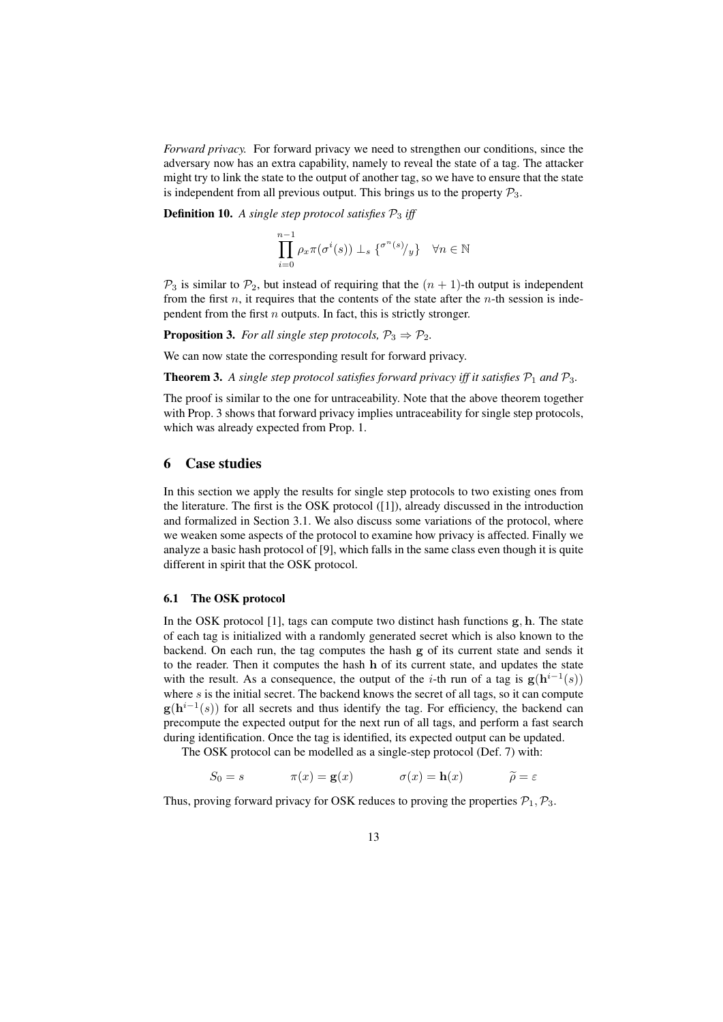*Forward privacy.* For forward privacy we need to strengthen our conditions, since the adversary now has an extra capability, namely to reveal the state of a tag. The attacker might try to link the state to the output of another tag, so we have to ensure that the state is independent from all previous output. This brings us to the property  $P_3$ .

**Definition 10.** A single step protocol satisfies  $P_3$  iff

$$
\prod_{i=0}^{n-1} \rho_x \pi(\sigma^i(s)) \perp_s \{\sigma^n(s)/y\} \quad \forall n \in \mathbb{N}
$$

 $\mathcal{P}_3$  is similar to  $\mathcal{P}_2$ , but instead of requiring that the  $(n + 1)$ -th output is independent from the first  $n$ , it requires that the contents of the state after the  $n$ -th session is independent from the first  $n$  outputs. In fact, this is strictly stronger.

**Proposition 3.** *For all single step protocols,*  $\mathcal{P}_3 \Rightarrow \mathcal{P}_2$ *.* 

We can now state the corresponding result for forward privacy.

**Theorem 3.** A single step protocol satisfies forward privacy iff it satisfies  $P_1$  and  $P_3$ .

The proof is similar to the one for untraceability. Note that the above theorem together with Prop. 3 shows that forward privacy implies untraceability for single step protocols, which was already expected from Prop. 1.

## 6 Case studies

In this section we apply the results for single step protocols to two existing ones from the literature. The first is the OSK protocol ([1]), already discussed in the introduction and formalized in Section 3.1. We also discuss some variations of the protocol, where we weaken some aspects of the protocol to examine how privacy is affected. Finally we analyze a basic hash protocol of [9], which falls in the same class even though it is quite different in spirit that the OSK protocol.

### 6.1 The OSK protocol

In the OSK protocol  $[1]$ , tags can compute two distinct hash functions  $g$ ,  $h$ . The state of each tag is initialized with a randomly generated secret which is also known to the backend. On each run, the tag computes the hash g of its current state and sends it to the reader. Then it computes the hash h of its current state, and updates the state with the result. As a consequence, the output of the *i*-th run of a tag is  $g(h^{i-1}(s))$ where  $s$  is the initial secret. The backend knows the secret of all tags, so it can compute  $g(h^{i-1}(s))$  for all secrets and thus identify the tag. For efficiency, the backend can precompute the expected output for the next run of all tags, and perform a fast search during identification. Once the tag is identified, its expected output can be updated.

The OSK protocol can be modelled as a single-step protocol (Def. 7) with:

$$
S_0 = s \qquad \qquad \pi(x) = \mathbf{g}(x) \qquad \qquad \sigma(x) = \mathbf{h}(x) \qquad \qquad \widetilde{\rho} = \varepsilon
$$

Thus, proving forward privacy for OSK reduces to proving the properties  $P_1, P_3$ .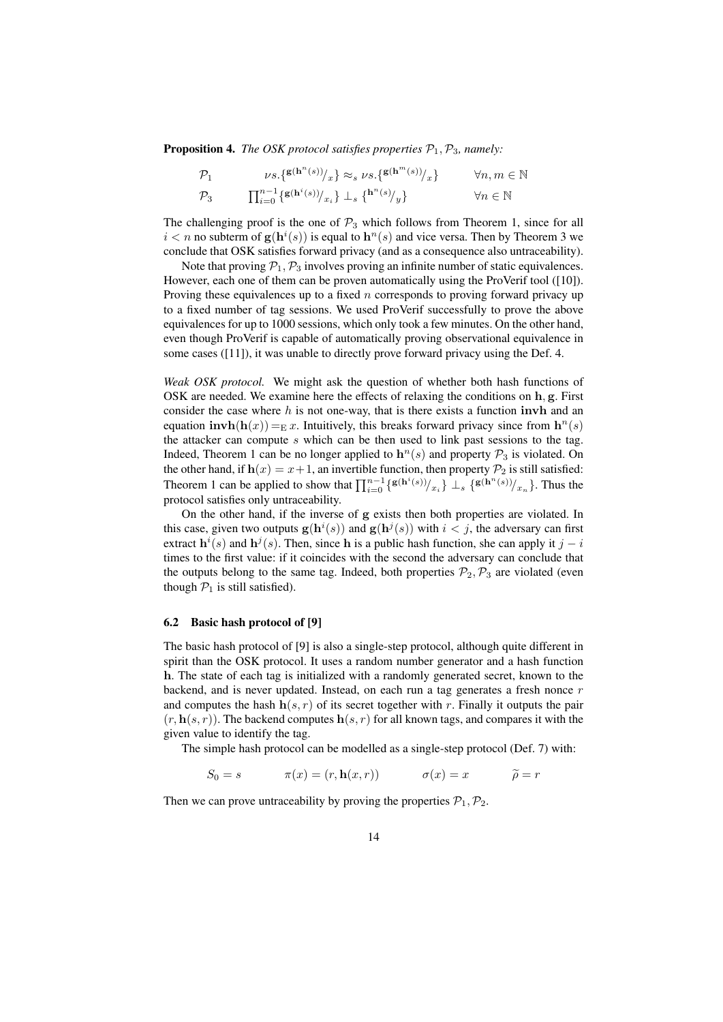**Proposition 4.** *The OSK protocol satisfies properties*  $P_1$ ,  $P_3$ *, namely:* 

$$
\mathcal{P}_1 \qquad \qquad \nu s. \{^{\mathbf{g}(\mathbf{h}^n(s))}/x\} \approx_s \nu s. \{^{\mathbf{g}(\mathbf{h}^m(s))}/x\} \qquad \qquad \forall n, m \in \mathbb{N}
$$
\n
$$
\mathcal{P}_3 \qquad \prod_{i=0}^{n-1} \{^{\mathbf{g}(\mathbf{h}^i(s))}/x_i\} \perp_s \{^{\mathbf{h}^n(s)}/y\} \qquad \qquad \forall n \in \mathbb{N}
$$

The challenging proof is the one of  $\mathcal{P}_3$  which follows from Theorem 1, since for all  $i < n$  no subterm of  $\mathbf{g}(\mathbf{h}^i(s))$  is equal to  $\mathbf{h}^n(s)$  and vice versa. Then by Theorem 3 we conclude that OSK satisfies forward privacy (and as a consequence also untraceability).

Note that proving  $P_1, P_3$  involves proving an infinite number of static equivalences. However, each one of them can be proven automatically using the ProVerif tool ([10]). Proving these equivalences up to a fixed  $n$  corresponds to proving forward privacy up to a fixed number of tag sessions. We used ProVerif successfully to prove the above equivalences for up to 1000 sessions, which only took a few minutes. On the other hand, even though ProVerif is capable of automatically proving observational equivalence in some cases ([11]), it was unable to directly prove forward privacy using the Def. 4.

*Weak OSK protocol.* We might ask the question of whether both hash functions of OSK are needed. We examine here the effects of relaxing the conditions on h, g. First consider the case where h is not one-way, that is there exists a function in  $\mathbf{v}$  h and an equation  $\textbf{invh}(\textbf{h}(x)) =_{\text{E}} x$ . Intuitively, this breaks forward privacy since from  $\textbf{h}^{n}(s)$ the attacker can compute  $s$  which can be then used to link past sessions to the tag. Indeed, Theorem 1 can be no longer applied to  $h^n(s)$  and property  $\mathcal{P}_3$  is violated. On the other hand, if  $h(x) = x+1$ , an invertible function, then property  $\mathcal{P}_2$  is still satisfied: Theorem 1 can be applied to show that  $\prod_{i=0}^{n-1} {\{\mathbf{g}(\mathbf{h}^{i}(s))_{x_i}\}\perp_{s} {\{\mathbf{g}(\mathbf{h}^{n}(s))_{x_n}\}}.$  Thus the protocol satisfies only untraceability.

On the other hand, if the inverse of g exists then both properties are violated. In this case, given two outputs  $g(h^{i}(s))$  and  $g(h^{j}(s))$  with  $i < j$ , the adversary can first extract  $h^{i}(s)$  and  $h^{j}(s)$ . Then, since h is a public hash function, she can apply it  $j - i$ times to the first value: if it coincides with the second the adversary can conclude that the outputs belong to the same tag. Indeed, both properties  $P_2, P_3$  are violated (even though  $P_1$  is still satisfied).

#### 6.2 Basic hash protocol of [9]

The basic hash protocol of [9] is also a single-step protocol, although quite different in spirit than the OSK protocol. It uses a random number generator and a hash function h. The state of each tag is initialized with a randomly generated secret, known to the backend, and is never updated. Instead, on each run a tag generates a fresh nonce r and computes the hash  $h(s, r)$  of its secret together with r. Finally it outputs the pair  $(r, \mathbf{h}(s, r))$ . The backend computes  $\mathbf{h}(s, r)$  for all known tags, and compares it with the given value to identify the tag.

The simple hash protocol can be modelled as a single-step protocol (Def. 7) with:

$$
S_0 = s \qquad \qquad \pi(x) = (r, \mathbf{h}(x, r)) \qquad \qquad \sigma(x) = x \qquad \qquad \widetilde{\rho} = r
$$

Then we can prove untraceability by proving the properties  $P_1, P_2$ .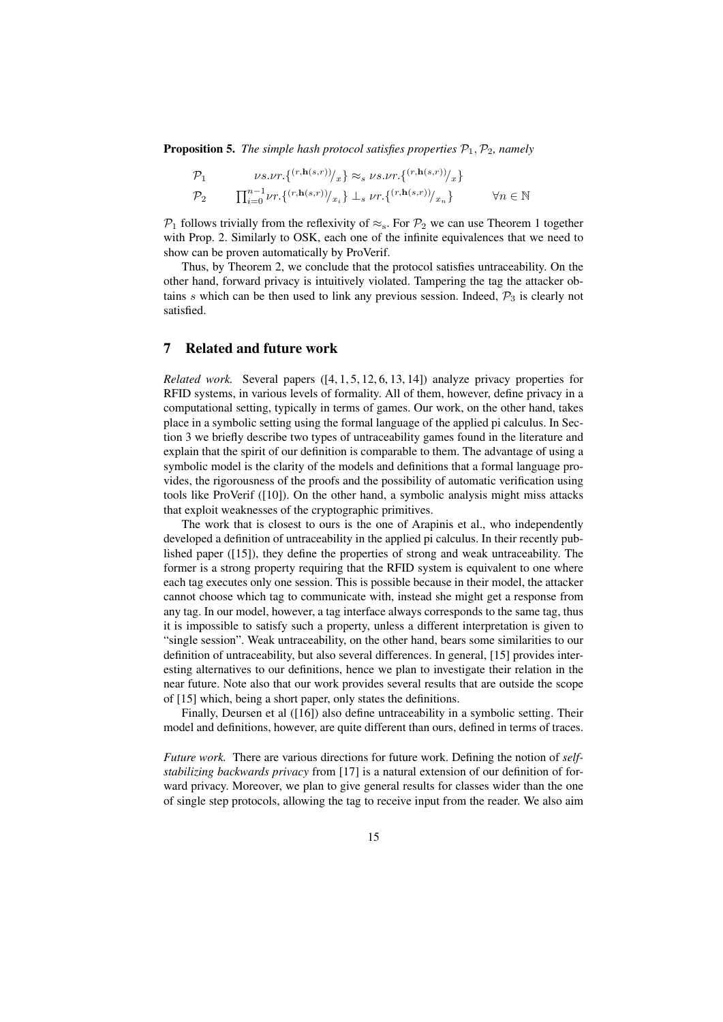**Proposition 5.** *The simple hash protocol satisfies properties*  $P_1$ ,  $P_2$ *, namely* 

$$
\mathcal{P}_1 \qquad \qquad \nu s.\nu r.\{^{(r,\mathbf{h}(s,r))}/x\} \approx_s \nu s.\nu r.\{^{(r,\mathbf{h}(s,r))}/x\}
$$
\n
$$
\mathcal{P}_2 \qquad \prod_{i=0}^{n-1} \nu r.\{^{(r,\mathbf{h}(s,r))}/x_i\} \perp_s \nu r.\{^{(r,\mathbf{h}(s,r))}/x_n\} \qquad \forall n \in \mathbb{N}
$$

 $P_1$  follows trivially from the reflexivity of  $\approx_{\rm s}$ . For  $P_2$  we can use Theorem 1 together with Prop. 2. Similarly to OSK, each one of the infinite equivalences that we need to show can be proven automatically by ProVerif.

Thus, by Theorem 2, we conclude that the protocol satisfies untraceability. On the other hand, forward privacy is intuitively violated. Tampering the tag the attacker obtains s which can be then used to link any previous session. Indeed,  $P_3$  is clearly not satisfied.

### 7 Related and future work

*Related work.* Several papers ([4, 1, 5, 12, 6, 13, 14]) analyze privacy properties for RFID systems, in various levels of formality. All of them, however, define privacy in a computational setting, typically in terms of games. Our work, on the other hand, takes place in a symbolic setting using the formal language of the applied pi calculus. In Section 3 we briefly describe two types of untraceability games found in the literature and explain that the spirit of our definition is comparable to them. The advantage of using a symbolic model is the clarity of the models and definitions that a formal language provides, the rigorousness of the proofs and the possibility of automatic verification using tools like ProVerif ([10]). On the other hand, a symbolic analysis might miss attacks that exploit weaknesses of the cryptographic primitives.

The work that is closest to ours is the one of Arapinis et al., who independently developed a definition of untraceability in the applied pi calculus. In their recently published paper ([15]), they define the properties of strong and weak untraceability. The former is a strong property requiring that the RFID system is equivalent to one where each tag executes only one session. This is possible because in their model, the attacker cannot choose which tag to communicate with, instead she might get a response from any tag. In our model, however, a tag interface always corresponds to the same tag, thus it is impossible to satisfy such a property, unless a different interpretation is given to "single session". Weak untraceability, on the other hand, bears some similarities to our definition of untraceability, but also several differences. In general, [15] provides interesting alternatives to our definitions, hence we plan to investigate their relation in the near future. Note also that our work provides several results that are outside the scope of [15] which, being a short paper, only states the definitions.

Finally, Deursen et al ([16]) also define untraceability in a symbolic setting. Their model and definitions, however, are quite different than ours, defined in terms of traces.

*Future work.* There are various directions for future work. Defining the notion of *selfstabilizing backwards privacy* from [17] is a natural extension of our definition of forward privacy. Moreover, we plan to give general results for classes wider than the one of single step protocols, allowing the tag to receive input from the reader. We also aim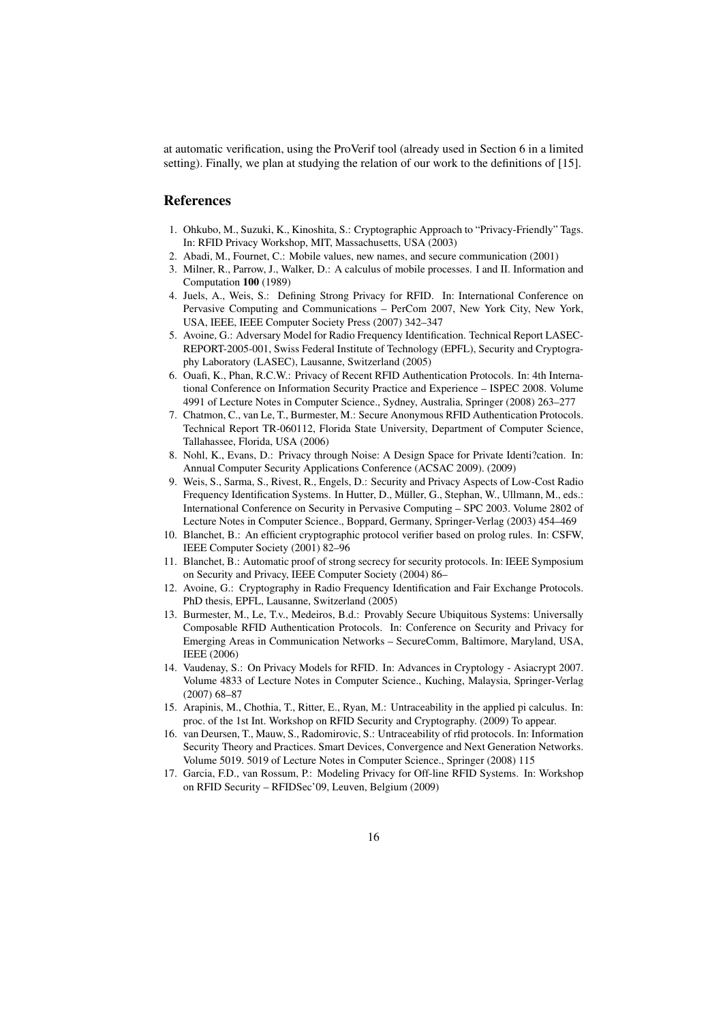at automatic verification, using the ProVerif tool (already used in Section 6 in a limited setting). Finally, we plan at studying the relation of our work to the definitions of [15].

## References

- 1. Ohkubo, M., Suzuki, K., Kinoshita, S.: Cryptographic Approach to "Privacy-Friendly" Tags. In: RFID Privacy Workshop, MIT, Massachusetts, USA (2003)
- 2. Abadi, M., Fournet, C.: Mobile values, new names, and secure communication (2001)
- 3. Milner, R., Parrow, J., Walker, D.: A calculus of mobile processes. I and II. Information and Computation 100 (1989)
- 4. Juels, A., Weis, S.: Defining Strong Privacy for RFID. In: International Conference on Pervasive Computing and Communications – PerCom 2007, New York City, New York, USA, IEEE, IEEE Computer Society Press (2007) 342–347
- 5. Avoine, G.: Adversary Model for Radio Frequency Identification. Technical Report LASEC-REPORT-2005-001, Swiss Federal Institute of Technology (EPFL), Security and Cryptography Laboratory (LASEC), Lausanne, Switzerland (2005)
- 6. Ouafi, K., Phan, R.C.W.: Privacy of Recent RFID Authentication Protocols. In: 4th International Conference on Information Security Practice and Experience – ISPEC 2008. Volume 4991 of Lecture Notes in Computer Science., Sydney, Australia, Springer (2008) 263–277
- 7. Chatmon, C., van Le, T., Burmester, M.: Secure Anonymous RFID Authentication Protocols. Technical Report TR-060112, Florida State University, Department of Computer Science, Tallahassee, Florida, USA (2006)
- 8. Nohl, K., Evans, D.: Privacy through Noise: A Design Space for Private Identi?cation. In: Annual Computer Security Applications Conference (ACSAC 2009). (2009)
- 9. Weis, S., Sarma, S., Rivest, R., Engels, D.: Security and Privacy Aspects of Low-Cost Radio Frequency Identification Systems. In Hutter, D., Muller, G., Stephan, W., Ullmann, M., eds.: ¨ International Conference on Security in Pervasive Computing – SPC 2003. Volume 2802 of Lecture Notes in Computer Science., Boppard, Germany, Springer-Verlag (2003) 454–469
- 10. Blanchet, B.: An efficient cryptographic protocol verifier based on prolog rules. In: CSFW, IEEE Computer Society (2001) 82–96
- 11. Blanchet, B.: Automatic proof of strong secrecy for security protocols. In: IEEE Symposium on Security and Privacy, IEEE Computer Society (2004) 86–
- 12. Avoine, G.: Cryptography in Radio Frequency Identification and Fair Exchange Protocols. PhD thesis, EPFL, Lausanne, Switzerland (2005)
- 13. Burmester, M., Le, T.v., Medeiros, B.d.: Provably Secure Ubiquitous Systems: Universally Composable RFID Authentication Protocols. In: Conference on Security and Privacy for Emerging Areas in Communication Networks – SecureComm, Baltimore, Maryland, USA, IEEE (2006)
- 14. Vaudenay, S.: On Privacy Models for RFID. In: Advances in Cryptology Asiacrypt 2007. Volume 4833 of Lecture Notes in Computer Science., Kuching, Malaysia, Springer-Verlag (2007) 68–87
- 15. Arapinis, M., Chothia, T., Ritter, E., Ryan, M.: Untraceability in the applied pi calculus. In: proc. of the 1st Int. Workshop on RFID Security and Cryptography. (2009) To appear.
- 16. van Deursen, T., Mauw, S., Radomirovic, S.: Untraceability of rfid protocols. In: Information Security Theory and Practices. Smart Devices, Convergence and Next Generation Networks. Volume 5019. 5019 of Lecture Notes in Computer Science., Springer (2008) 115
- 17. Garcia, F.D., van Rossum, P.: Modeling Privacy for Off-line RFID Systems. In: Workshop on RFID Security – RFIDSec'09, Leuven, Belgium (2009)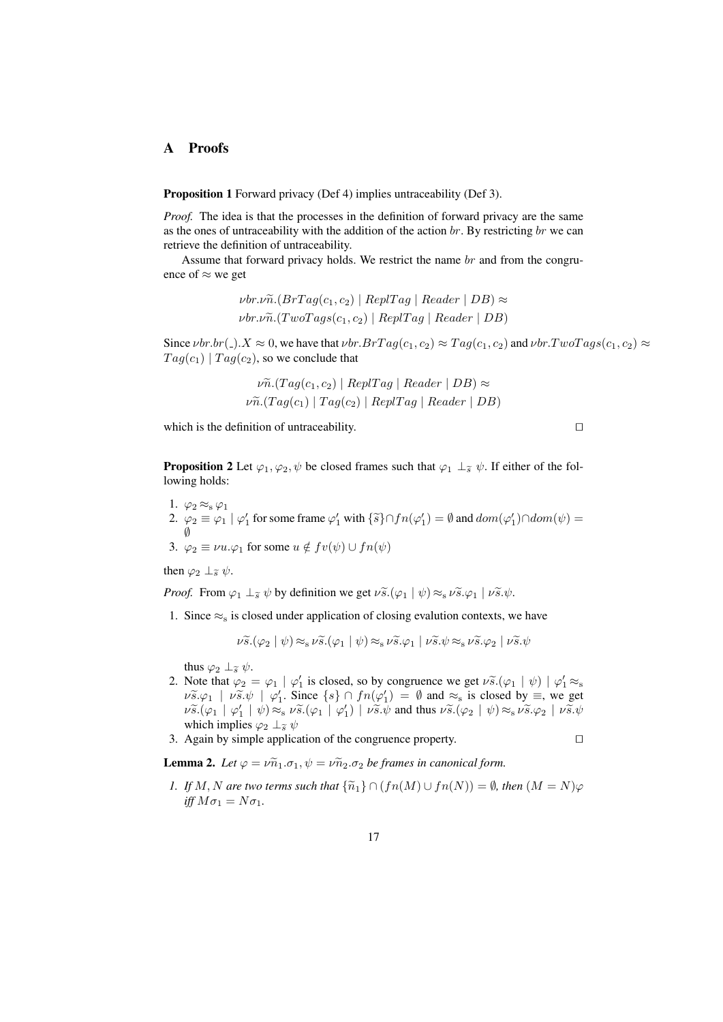## A Proofs

Proposition 1 Forward privacy (Def 4) implies untraceability (Def 3).

*Proof.* The idea is that the processes in the definition of forward privacy are the same as the ones of untraceability with the addition of the action  $br$ . By restricting  $br$  we can retrieve the definition of untraceability.

Assume that forward privacy holds. We restrict the name br and from the congruence of  $\approx$  we get

$$
\nu br.\nu \widetilde{n}.(BrTag(c_1, c_2) | ReplTag | Reader | DB) \approx \nu br.\nu \widetilde{n}.(TwoTags(c_1, c_2) | ReplTag | Reader | DB)
$$

Since  $\nu b r.b r(\cdot) . X \approx 0$ , we have that  $\nu b r.B r T a g(c_1, c_2) \approx T a g(c_1, c_2)$  and  $\nu b r.T w o T a g s(c_1, c_2) \approx$  $Tag(c_1) | Tag(c_2)$ , so we conclude that

$$
\nu \widetilde{n}.(Tag(c_1, c_2) | ReplTag | Reader | DB) \approx
$$
  

$$
\nu \widetilde{n}.(Tag(c_1) | Tag(c_2) | ReplTag | Reader | DB)
$$

which is the definition of untraceability.  $\Box$ 

**Proposition 2** Let  $\varphi_1, \varphi_2, \psi$  be closed frames such that  $\varphi_1 \perp_{\widetilde{\sigma}} \psi$ . If either of the following holds:

- 1.  $\varphi_2 \approx_s \varphi_1$ 2.  $\varphi_2 \equiv \varphi_1 \mid \varphi_1'$  for some frame  $\varphi_1'$  with  $\{\tilde{s}\} \cap fn(\varphi_1') = \emptyset$  and  $dom(\varphi_1') \cap dom(\psi) = \emptyset$ ∅
- 3.  $\varphi_2 \equiv \nu u.\varphi_1$  for some  $u \notin fv(\psi) \cup fn(\psi)$

then  $\varphi_2 \perp_{\widetilde{\mathfrak{s}}} \psi$ .

*Proof.* From  $\varphi_1 \perp_{\widetilde{\mathcal{S}}} \psi$  by definition we get  $\nu \widetilde{\mathcal{S}} \cdot (\varphi_1 \mid \psi) \approx_s \nu \widetilde{\mathcal{S}} \cdot \varphi_1 \mid \nu \widetilde{\mathcal{S}} \cdot \psi$ .

1. Since  $\approx$ <sub>s</sub> is closed under application of closing evalution contexts, we have

$$
\nu \widetilde{s}.(\varphi_2 \mid \psi) \approx_{\mathrm{s}} \nu \widetilde{s}.(\varphi_1 \mid \psi) \approx_{\mathrm{s}} \nu \widetilde{s}. \varphi_1 \mid \nu \widetilde{s}. \psi \approx_{\mathrm{s}} \nu \widetilde{s}. \varphi_2 \mid \nu \widetilde{s}. \psi
$$

thus  $\varphi_2 \perp_{\widetilde{s}} \psi$ .

- 2. Note that  $\varphi_2 = \varphi_1 \mid \varphi_1'$  is closed, so by congruence we get  $\nu \tilde{s}. (\varphi_1 \mid \psi) \mid \varphi_1' \approx$  $\nu \widetilde{s}_{\cdot} \varphi_1 \mid \nu \widetilde{s}_{\cdot} \psi \mid \varphi_1'$ . Since  $\{s\} \cap fn(\varphi_1') = \emptyset$  and  $\approx_s$  is closed by  $\equiv_s$ , we get  $\nu \tilde{s}. (\varphi_1 | \varphi_1' | \psi) \approx_s \nu \tilde{s}. (\varphi_1 | \varphi_1') | \nu \tilde{s}. \psi$  and thus  $\nu \tilde{s}. (\varphi_2 | \psi) \approx_s \nu \tilde{s}. \varphi_2 | \nu \tilde{s}. \psi$ <br>which implies  $\varphi_2 | \varphi_2' | \psi$ which implies  $\varphi_2 \perp_{\widetilde{\mathfrak{s}}} \psi$
- 3. Again by simple application of the congruence property.  $\Box$

**Lemma 2.** Let  $\varphi = \nu \widetilde{n}_1 \cdot \sigma_1$ ,  $\psi = \nu \widetilde{n}_2 \cdot \sigma_2$  *be frames in canonical form.* 

*1. If* M, N are two terms such that  $\{\widetilde{n}_1\} \cap (fn(M) \cup fn(N)) = \emptyset$ , then  $(M = N) \varphi$  $if\ M\sigma_1=N\sigma_1.$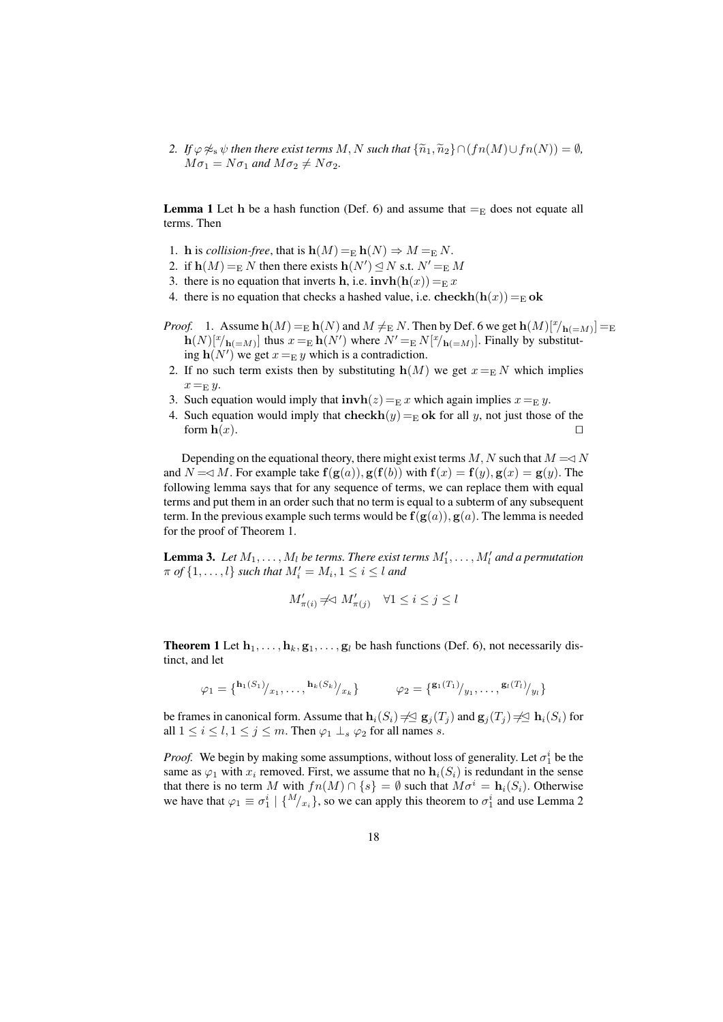*2. If*  $\varphi \not\approx_s \psi$  *then there exist terms M, N such that*  $\{\widetilde{n}_1, \widetilde{n}_2\} \cap (fn(M) \cup fn(N)) = \emptyset$ *,*  $M\sigma_1 = N\sigma_1$  *and*  $M\sigma_2 \neq N\sigma_2$ *.* 

**Lemma 1** Let h be a hash function (Def. 6) and assume that  $=$ <sub>E</sub> does not equate all terms. Then

- 1. h is *collision-free*, that is  $h(M) =_{\text{E}} h(N) \Rightarrow M =_{\text{E}} N$ .
- 2. if  $h(M) =_{\text{E}} N$  then there exists  $h(N') \leq N$  s.t.  $N' =_{\text{E}} M$
- 3. there is no equation that inverts h, i.e.  $\mathbf{invh}(\mathbf{h}(x)) =_{\mathrm{E}} x$
- 4. there is no equation that checks a hashed value, i.e. checkh(h(x)) =  $E$  ok
- *Proof.* 1. Assume  $\mathbf{h}(M) =_{\text{E}} \mathbf{h}(N)$  and  $M \neq_{\text{E}} N$ . Then by Def. 6 we get  $\mathbf{h}(M) \binom{x}{\mathbf{h}(=M)} =_{\text{E}} N$  $\mathbf{h}(N)[\psi_{\mathbf{h}(-M)}]$  thus  $x =_{\text{E}} \mathbf{h}(N')$  where  $N' =_{\text{E}} N[\psi_{\mathbf{h}(-M)}]$ . Finally by substituting  $h(N')$  we get  $x =_E y$  which is a contradiction.
- 2. If no such term exists then by substituting  $h(M)$  we get  $x =_{E} N$  which implies  $x =_{\mathrm{E}} y$ .
- 3. Such equation would imply that  $\text{invh}(z) =_{\text{E}} x$  which again implies  $x =_{\text{E}} y$ .
- 4. Such equation would imply that  $\mathbf{checkh}(y) =_{\mathbb{E}} \mathbf{ok}$  for all y, not just those of the form  $h(x)$ .

Depending on the equational theory, there might exist terms  $M, N$  such that  $M = \triangleleft N$ and  $N = \langle M$ . For example take  $f(g(a)), g(f(b))$  with  $f(x) = f(y), g(x) = g(y)$ . The following lemma says that for any sequence of terms, we can replace them with equal terms and put them in an order such that no term is equal to a subterm of any subsequent term. In the previous example such terms would be  $f(g(a)), g(a)$ . The lemma is needed for the proof of Theorem 1.

**Lemma 3.** Let  $M_1, \ldots, M_l$  be terms. There exist terms  $M'_1, \ldots, M'_l$  and a permutation  $\pi$  of  $\{1, \ldots, l\}$  such that  $M_i' = M_i, 1 \leq i \leq l$  and

$$
M'_{\pi(i)} \neq \vartriangleleft M'_{\pi(j)} \quad \forall 1 \leq i \leq j \leq l
$$

**Theorem 1** Let  $h_1, \ldots, h_k, g_1, \ldots, g_l$  be hash functions (Def. 6), not necessarily distinct, and let

$$
\varphi_1 = \{ \mathbf{h}_1(S_1) /_{x_1}, \dots, \mathbf{h}_k(S_k) /_{x_k} \} \qquad \varphi_2 = \{ \mathbf{g}_1(T_1) /_{y_1}, \dots, \mathbf{g}_l(T_l) /_{y_l} \}
$$

be frames in canonical form. Assume that  $\mathbf{h}_i(S_i) \neq \mathcal{B}_j(T_i)$  and  $\mathbf{g}_i(T_i) \neq \mathcal{B}_i(S_i)$  for all  $1 \le i \le l, 1 \le j \le m$ . Then  $\varphi_1 \perp_s \varphi_2$  for all names s.

*Proof.* We begin by making some assumptions, without loss of generality. Let  $\sigma_1^i$  be the same as  $\varphi_1$  with  $x_i$  removed. First, we assume that no  $\mathbf{h}_i(S_i)$  is redundant in the sense that there is no term M with  $fn(M) \cap \{s\} = \emptyset$  such that  $M\sigma^i = \mathbf{h}_i(S_i)$ . Otherwise we have that  $\varphi_1 \equiv \sigma_1^i \mid \{^M \! /_{x_i} \}$ , so we can apply this theorem to  $\sigma_1^i$  and use Lemma 2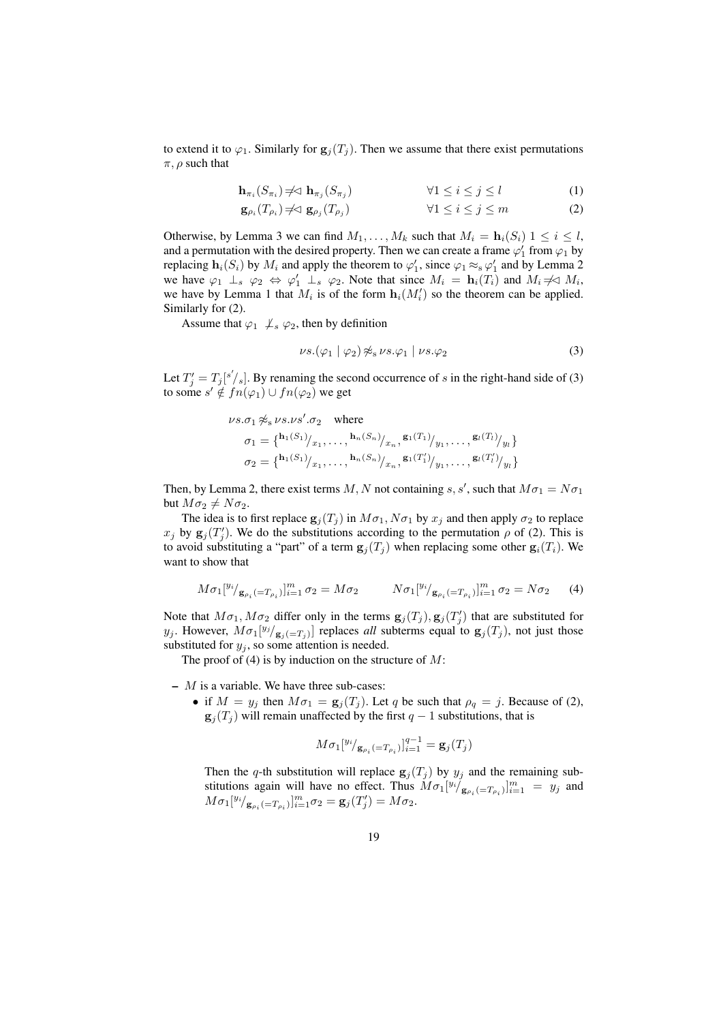to extend it to  $\varphi_1$ . Similarly for  $\mathbf{g}_j(T_j)$ . Then we assume that there exist permutations  $\pi$ ,  $\rho$  such that

$$
\mathbf{h}_{\pi_i}(S_{\pi_i}) \neq \mathbf{h}_{\pi_j}(S_{\pi_j}) \qquad \qquad \forall 1 \le i \le j \le l \tag{1}
$$

$$
\mathbf{g}_{\rho_i}(T_{\rho_i}) \neq \varnothing \mathbf{g}_{\rho_j}(T_{\rho_j}) \qquad \qquad \forall 1 \leq i \leq j \leq m \tag{2}
$$

Otherwise, by Lemma 3 we can find  $M_1, \ldots, M_k$  such that  $M_i = \mathbf{h}_i(S_i) \mid 1 \leq i \leq l$ , and a permutation with the desired property. Then we can create a frame  $\varphi_1'$  from  $\varphi_1$  by replacing  $\mathbf{h}_i(S_i)$  by  $M_i$  and apply the theorem to  $\varphi'_1$ , since  $\varphi_1 \approx_{\mathrm{s}} \varphi'_1$  and by Lemma 2 we have  $\varphi_1 \perp_s \varphi_2 \Leftrightarrow \varphi_1' \perp_s \varphi_2$ . Note that since  $M_i = \mathbf{h}_i(T_i)$  and  $M_i \neq \perp M_i$ , we have by Lemma 1 that  $M_i$  is of the form  $\mathbf{h}_i(M'_i)$  so the theorem can be applied. Similarly for (2).

Assume that  $\varphi_1 \nightharpoonup s \varphi_2$ , then by definition

$$
\nu s.(\varphi_1 \mid \varphi_2) \not\approx_s \nu s. \varphi_1 \mid \nu s. \varphi_2 \tag{3}
$$

Let  $T'_j = T_j[s'_{s}]$ . By renaming the second occurrence of s in the right-hand side of (3) to some  $s' \notin fn(\varphi_1) \cup fn(\varphi_2)$  we get

$$
\nu s.\sigma_1 \not\approx_s \nu s.\nu s'.\sigma_2 \quad \text{where}
$$

$$
\sigma_1 = {\mathbf{h}_1(S_1)}_{x_1}, \dots, {\mathbf{h}_n(S_n)}_{x_n}, \mathbf{g}_1(T_1)_{y_1}, \dots, \mathbf{g}_l(T_l)_{y_l}
$$

$$
\sigma_2 = {\mathbf{h}_1(S_1)}_{x_1}, \dots, \mathbf{h}_n(S_n)_{x_n}, \mathbf{g}_1(T'_1)_{y_1}, \dots, \mathbf{g}_l(T'_l)_{y_l}
$$

Then, by Lemma 2, there exist terms  $M, N$  not containing  $s, s'$ , such that  $M\sigma_1 = N\sigma_1$ but  $M\sigma_2 \neq N\sigma_2$ .

The idea is to first replace  $\mathbf{g}_j(T_j)$  in  $M\sigma_1, N\sigma_1$  by  $x_j$  and then apply  $\sigma_2$  to replace  $x_j$  by  $\mathbf{g}_j(T'_j)$ . We do the substitutions according to the permutation  $\rho$  of (2). This is to avoid substituting a "part" of a term  $\mathbf{g}_i(T_i)$  when replacing some other  $\mathbf{g}_i(T_i)$ . We want to show that

$$
M\sigma_1[^{y_i}_{}{}'_{g_{\rho_i}(-T_{\rho_i})}]_{i=1}^m \sigma_2 = M\sigma_2 \qquad N\sigma_1[^{y_i}_{}'_{g_{\rho_i}(-T_{\rho_i})}]_{i=1}^m \sigma_2 = N\sigma_2 \qquad (4)
$$

Note that  $M\sigma_1, M\sigma_2$  differ only in the terms  $g_j(T_j), g_j(T'_j)$  that are substituted for  $y_j$ . However,  $M\sigma_1^{[y_j]}g_{j(-T_j)}$  replaces *all* subterms equal to  $g_j(T_j)$ , not just those substituted for  $y_i$ , so some attention is needed.

The proof of  $(4)$  is by induction on the structure of M:

 $-$  *M* is a variable. We have three sub-cases:

• if  $M = y_j$  then  $M\sigma_1 = \mathbf{g}_j(T_j)$ . Let q be such that  $\rho_q = j$ . Because of (2),  $\mathbf{g}_i(T_i)$  will remain unaffected by the first  $q-1$  substitutions, that is

$$
M\sigma_1[^{y_i}/_{\mathbf{g}_{\rho_i}(-T_{\rho_i})}]_{i=1}^{q-1}=\mathbf{g}_j(T_j)
$$

Then the q-th substitution will replace  $g_j(T_j)$  by  $y_j$  and the remaining substitutions again will have no effect. Thus  $M\sigma_1{[y_i]}_{\mathbf{g}_{\rho_i}(-T_{\rho_i})}^{m}_{i=1} = y_j$  and  $M\sigma_1[$ <sup>y</sup>i/ $_{\mathbf{g}_{\rho_i}(-T_{\rho_i})}]_{i=1}^m\sigma_2 = \mathbf{g}_j(T'_j) = M\sigma_2.$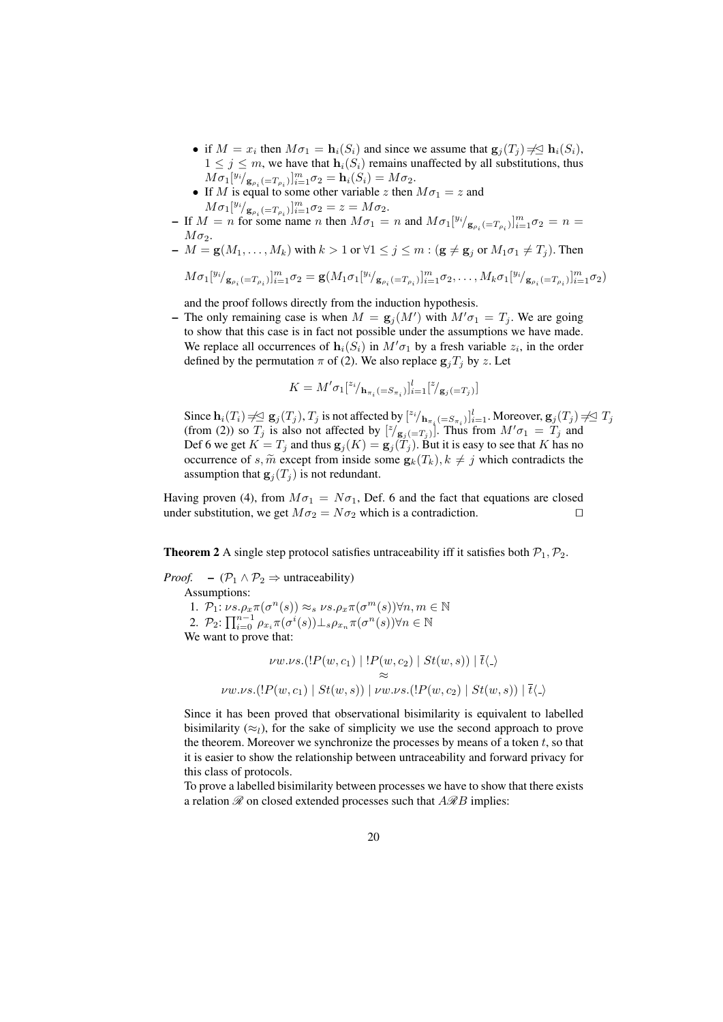- if  $M = x_i$  then  $M\sigma_1 = \mathbf{h}_i(S_i)$  and since we assume that  $\mathbf{g}_j(T_j) \neq \mathbf{h}_i(S_i)$ ,  $1 \leq j \leq m$ , we have that  $\mathbf{h}_i(S_i)$  remains unaffected by all substitutions, thus  $M\sigma_1[$ <sup>yi</sup>/ $_{\mathbf{g}_{\rho_i}(-T_{\rho_i})}]_{i=1}^m\sigma_2 = \mathbf{h}_i(S_i) = M\sigma_2.$
- If M is equal to some other variable z then  $M\sigma_1 = z$  and  $M\sigma_1[$ <sup>y</sup>i/<sub>g<sub> $\rho_i$ </sub> $_{=T_{\rho_i}}$  $)]_{i=1}^m \sigma_2 = z = M\sigma_2.$ </sub>
- If  $M = n$  for some name n then  $M\sigma_1 = n$  and  $M\sigma_1[$ <sup>yi</sup> $/_{g_{\rho_i}(-T_{\rho_i})}]_{i=1}^m \sigma_2 = n$  $M\sigma_2$ .
- $-M = g(M_1, \ldots, M_k)$  with  $k > 1$  or  $\forall 1 \leq j \leq m : (g \neq g_j)$  or  $M_1 \sigma_1 \neq T_j$ ). Then

$$
M\sigma_1^{[y_i]}\mathbf{g}_{\rho_i} = T_{\rho_i}]_{i=1}^m \sigma_2 = \mathbf{g}(M_1\sigma_1^{[y_i]}\mathbf{g}_{\rho_i} = T_{\rho_i})_{i=1}^m \sigma_2, \dots, M_k\sigma_1^{[y_i]}\mathbf{g}_{\rho_i} = T_{\rho_i})_{i=1}^m \sigma_2)
$$

and the proof follows directly from the induction hypothesis.

- The only remaining case is when  $M = g_j(M')$  with  $M' \sigma_1 = T_j$ . We are going to show that this case is in fact not possible under the assumptions we have made. We replace all occurrences of  $\mathbf{h}_i(S_i)$  in  $M' \sigma_1$  by a fresh variable  $z_i$ , in the order defined by the permutation  $\pi$  of (2). We also replace  $g_jT_j$  by z. Let

$$
K = M' \sigma_1[{}^{z_i} / {}_{\mathbf{h}_{\pi_i}(=S_{\pi_i})}]_{i=1}^l[{}^{z} / {}_{\mathbf{g}_j(=T_j)}]
$$

Since  $\mathbf{h}_i(T_i) \neq \mathcal{Q}$   $\mathbf{g}_j(T_j)$ ,  $T_j$  is not affected by  $\binom{z_i}{\mathbf{h}_{\pi_i}(-S_{\pi_i})}_{i=1}$ . Moreover,  $\mathbf{g}_j(T_j) \neq T_j$ (from (2)) so  $T_j$  is also not affected by  $\left[\frac{z}{g_j(-T_j)}\right]$ . Thus from  $M'\sigma_1 = T_j$  and Def 6 we get  $K = T_i$  and thus  $\mathbf{g}_i(K) = \mathbf{g}_i(T_i)$ . But it is easy to see that K has no occurrence of s,  $\tilde{m}$  except from inside some  $\mathbf{g}_k(T_k)$ ,  $k \neq j$  which contradicts the assumption that  $\mathbf{g}_i(T_i)$  is not redundant.

Having proven (4), from  $M\sigma_1 = N\sigma_1$ , Def. 6 and the fact that equations are closed under substitution, we get  $M\sigma_2 = N\sigma_2$  which is a contradiction.

**Theorem 2** A single step protocol satisfies untraceability iff it satisfies both  $P_1, P_2$ .

*Proof.* –  $(\mathcal{P}_1 \wedge \mathcal{P}_2 \Rightarrow$  untraceability) Assumptions: 1.  $\mathcal{P}_1: \nu s.\rho_x \pi(\sigma^n(s)) \approx_s \nu s.\rho_x \pi(\sigma^m(s)) \forall n, m \in \mathbb{N}$ 2.  $\mathcal{P}_2$ :  $\prod_{i=0}^{n-1} \rho_{x_i} \pi(\sigma^i(s)) \perp_s \rho_{x_n} \pi(\sigma^n(s)) \forall n \in \mathbb{N}$ We want to prove that:

$$
\nu w.\nu s.(!P(w, c_1) | !P(w, c_2) | St(w, s)) | \overline{t} \langle \rangle
$$
  
\n
$$
\approx
$$
  
\n
$$
\nu w.\nu s.(!P(w, c_1) | St(w, s)) | \nu w.\nu s.(!P(w, c_2) | St(w, s)) | \overline{t} \langle \rangle
$$

Since it has been proved that observational bisimilarity is equivalent to labelled bisimilarity ( $\approx$ <sub>l</sub>), for the sake of simplicity we use the second approach to prove the theorem. Moreover we synchronize the processes by means of a token  $t$ , so that it is easier to show the relationship between untraceability and forward privacy for this class of protocols.

To prove a labelled bisimilarity between processes we have to show that there exists a relation  $\mathcal R$  on closed extended processes such that  $A\mathcal{R}B$  implies: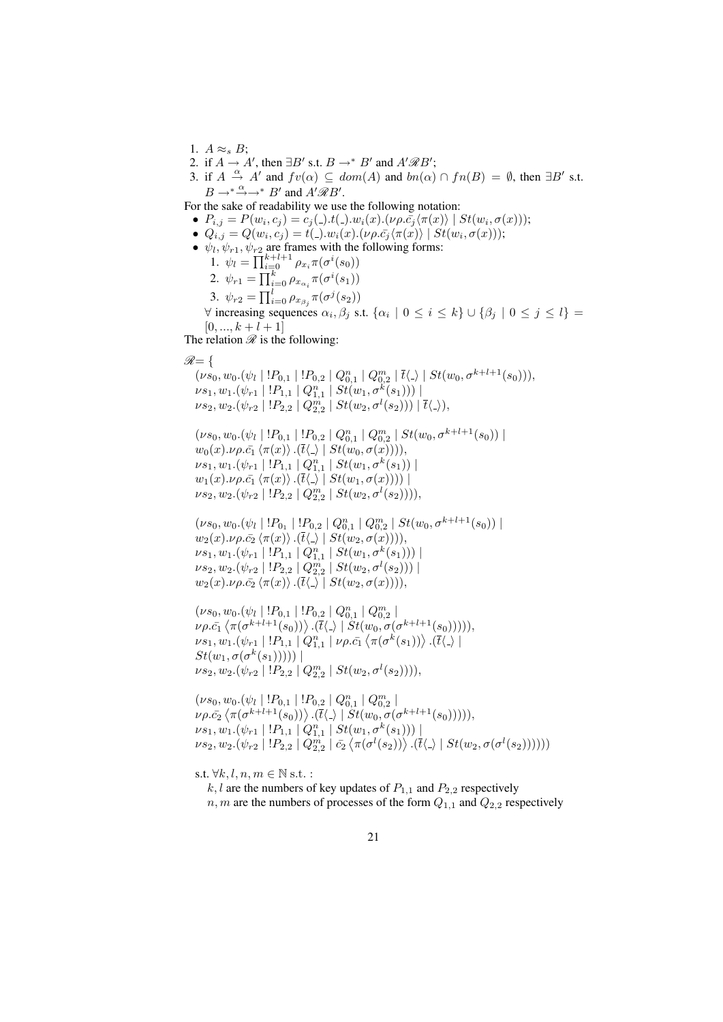1.  $A \approx_s B$ ; 2. if  $A \to A'$ , then  $\exists B'$  s.t.  $B \to^* B'$  and  $A' \mathcal{R} B'$ ; 3. if  $A \stackrel{\alpha}{\rightarrow} A'$  and  $fv(\alpha) \subseteq dom(A)$  and  $bn(\alpha) \cap fn(B) = \emptyset$ , then  $\exists B'$  s.t.  $B \to^* \to^* B'$  and  $A' \mathcal{R} B'$ . For the sake of readability we use the following notation: •  $P_{i,j} = P(w_i, c_j) = c_j(.).t(.) \cdot w_i(x).(\nu \rho . \bar{c_j} \langle \pi(x) \rangle \mid St(w_i, \sigma(x)));$  $\bullet \ \ Q_{i,j}=Q(w_i,c_j)=t(.)$ . $w_i(x).(\nu \rho.\bar{c_j}\langle \pi(x)\rangle \mid St(w_i,\sigma(x)));$ •  $\psi_l, \psi_{r1}, \psi_{r2}$  are frames with the following forms: 1.  $\psi_l = \prod_{i=0}^{k+l+1} \rho_{x_i} \pi(\sigma^i(s_0))$ 2.  $\psi_{r1} = \prod_{i=0}^{k} \rho_{x_{\alpha_i}} \pi(\sigma^i(s_1))$ 3.  $\psi_{r2} = \prod_{i=0}^{l} \rho_{x_{\beta_j}} \pi(\sigma^j(s_2))$  $\forall$  increasing sequences  $\alpha_i, \beta_j$  s.t.  $\{\alpha_i \mid 0 \le i \le k\} \cup \{\beta_j \mid 0 \le j \le l\} =$  $[0, ..., k+l+1]$ The relation  $\mathcal{R}$  is the following:  $\mathscr{R} = \{$  $(\nu s_0, w_0.(\psi_l \mid !P_{0,1} \mid !P_{0,2} \mid Q_{0,1}^n \mid Q_{0,2}^m \mid \bar{t}\langle \rangle \mid St(w_0, \sigma^{k+l+1}(s_0))),$  $\nu s_1, w_1.(\psi_{r1} \mid !P_{1,1} \mid Q_{1,1}^n \mid St(w_1, \sigma^k(s_1))) \mid$  $\nu s_2, w_2.(\psi_{r2} \mid !P_{2,2} \mid Q_{2,2}^m \mid St(w_2, \sigma^l(s_2))) \mid \overline{t}\langle \mathbf{x} \rangle),$  $(\nu s_0, w_0.(\psi_l \mid !P_{0,1} \mid !P_{0,2} \mid Q_{0,1}^n \mid Q_{0,2}^m \mid St(w_0, \sigma^{k+l+1}(s_0)) \mid$  $w_0(x).\nu \rho.\bar{c_1} \langle \pi(x) \rangle \cdot (\bar{t} \langle \cdot \rangle | St(w_0, \sigma(x)))),$  $\nu s_1, w_1.(\psi_{r1} | P_{1,1} | Q_{1,1}^n | St(w_1, \sigma^k(s_1)) |$  $w_1(x).\nu \rho.\bar{c_1} \langle \pi(x) \rangle \cdot (\bar{t} \langle \cdot \rangle | St(w_1, \sigma(x))))$  $\nu s_2, w_2.(\psi_{r2} \mid !P_{2,2} \mid Q_{2,2}^m \mid St(w_2, \sigma^l(s_2))))$  $(\nu s_0, w_0.(\psi_l \mid !P_{0_1} \mid !P_{0,2} \mid Q_{0,1}^n \mid Q_{0,2}^m \mid St(w_0, \sigma^{k+l+1}(s_0)) \mid$  $w_2(x) \cdot \nu \rho \cdot \bar{c}_2 \langle \pi(x) \rangle \cdot (\bar{t} \langle \_ \rangle | St(w_2, \sigma(x)))),$  $\nu s_1, w_1.(\psi_{r1} | P_{1,1} | Q_{1,1}^n | St(w_1, \sigma^k(s_1)))$  $\nu s_2, w_2.(\psi_{r2} \mid !P_{2,2} \mid Q_{2,2}^m \mid St(w_2, \sigma^l(s_2))) \mid$  $w_2(x).\nu \rho.\bar{c_2} \langle \pi(x) \rangle \cdot (\bar{t} \langle \cdot \rangle | St(w_2, \sigma(x)))),$  $(\nu s_0, w_0.(\psi_l \mid !P_{0,1} \mid !P_{0,2} \mid Q_{0,1}^n \mid Q_{0,2}^m \mid$  $\nonumber \begin{aligned} \nu\rho.\bar{c_1}\left\langle\pi(\sigma^{k+l+1}(s_0))\right\rangle .&(\overline{t}\langle_\text{\small{-}}\rangle\mid \dot{St}(w_0,\sigma(\sigma^{k+l+1}(s_0))))), \end{aligned}$ νs1, w1.(ψr<sup>1</sup> | !P1,<sup>1</sup> | Q<sup>n</sup> 1,1 | νρ.c¯<sup>1</sup> π(σ k (s1)) .(th i |  $St(w_1, \sigma(\sigma^k(s_1))))$  $\nu s_2, w_2.(\psi_{r2} \mid !P_{2,2} \mid Q_{2,2}^m \mid St(w_2, \sigma^l(s_2))))$  $(\nu s_0, w_0.(\psi_l \mid !P_{0,1} \mid !P_{0,2} \mid Q_{0,1}^n \mid Q_{0,2}^m \mid$ 

 $\nonumber \begin{aligned} \nu\rho.\bar{c_2}\left\langle\pi(\sigma^{k+l+1}(s_0))\right\rangle .&(\overline{t}\langle\lrcorner\rangle\mid St(w_0,\sigma(\sigma^{k+l+1}(s_0))))), \end{aligned}$  $\nu s_1, w_1.(\psi_{r1} \mid !P_{1,1} \mid Q_{1,1}^n \mid St(w_1, \sigma^k(s_1))) \mid$  $\nu s_2, w_2.(\psi_{r2} \mid !P_{2,2}\mid Q^{\vec{m}}_{2,2} \mid \bar{c_2} \left\langle \pi(\sigma^l(s_2)) \right\rangle .(\bar{t}\left\langle \rule{0pt}{3pt}\right\rangle \mid St(w_2,\sigma(\sigma^l(s_2))))))$ 

s.t.  $\forall k, l, n, m \in \mathbb{N}$  s.t. :

 $k, l$  are the numbers of key updates of  $P_{1,1}$  and  $P_{2,2}$  respectively  $n, m$  are the numbers of processes of the form  $Q_{1,1}$  and  $Q_{2,2}$  respectively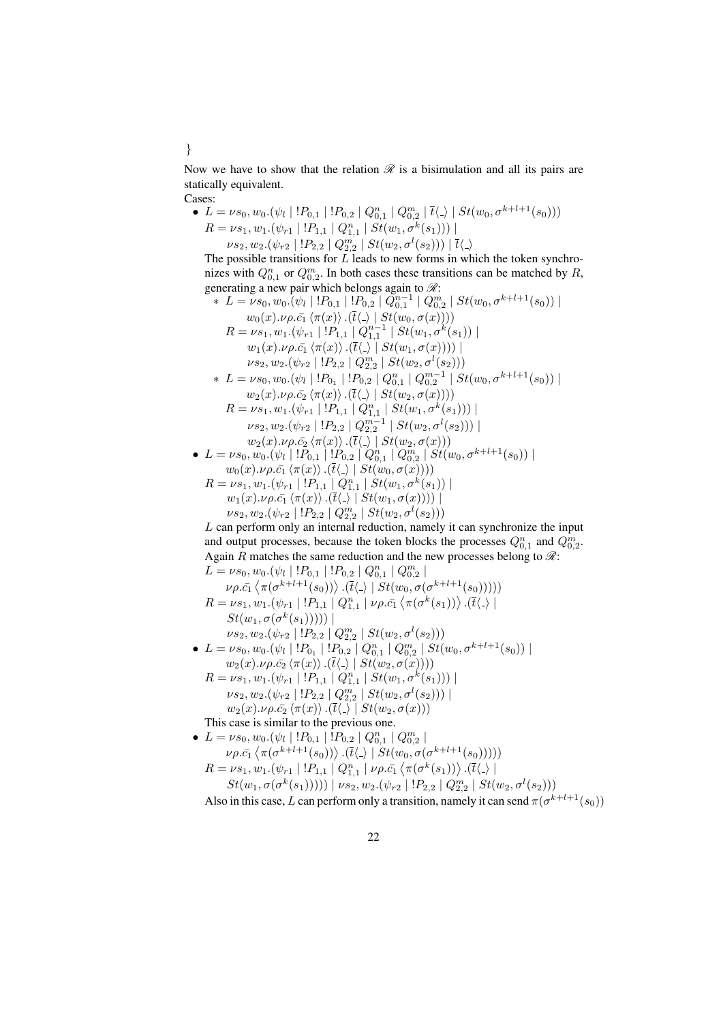Now we have to show that the relation  $\mathcal R$  is a bisimulation and all its pairs are statically equivalent.

Cases:

}

•  $L = \nu s_0, w_0.(\psi_l \mid !P_{0,1} \mid !P_{0,2} \mid Q_{0,1}^n \mid Q_{0,2}^m \mid \bar{t}\langle \cdot \rangle \mid St(w_0, \sigma^{k+l+1}(s_0)))$  $R = \nu s_1, w_1.(\psi_{r1} | P_{1,1} | Q_{1,1}^n | St(w_1, \sigma^k(s_1)))$  $\nu s_2, w_2.(\psi_{r2} \mid !P_{2,2}\mid Q^m_{2,2} \mid St(w_2, \sigma^l(s_2))) \mid \bar{t}\langle \mathbf{.}\rangle$ The possible transitions for  $L$  leads to new forms in which the token synchronizes with  $Q_{0,1}^n$  or  $Q_{0,2}^m$ . In both cases these transitions can be matched by R, generating a new pair which belongs again to  $\mathcal{R}$ :  $* L = \nu s_0, w_0.(\psi_l \mid !P_{0,1} \mid !P_{0,2} \mid \tilde{Q}_{0,1}^{n-1} \mid Q_{0,2}^m \mid St(w_0, \sigma^{k+l+1}(s_0)) \mid$  $w_0(x)$ .ν $\rho. \bar{c_1} \langle \pi(x) \rangle$  . $(\bar{t}\langle \_ \rangle \mid St(w_0, \sigma(x))))$  $R = \nu s_1, w_1.(\psi_{r1} | P_{1,1} | Q_{1,1}^{n-1} | St(w_1, \sigma^k(s_1)) |$  $w_1(x).\nu \rho.\bar{c_1} \langle \pi(x) \rangle \cdot (\bar{t} \langle \_ \rangle | St(w_1, \sigma(x)))) |$  $\nu s_2, w_2.(\psi_{r2} \mid !P_{2,2} \mid Q^m_{2,2} \mid St(w_2, \sigma^l(s_2)))$ \*  $L = \nu s_0, w_0.(\psi_l \mid !P_{0_1} \mid !P_{0,2} \mid Q_{0,1}^n \mid Q_{0,2}^{m-1} \mid St(w_0, \sigma^{k+l+1}(s_0)) \mid$  $w_2(x) \cdot \nu \rho \cdot \bar{c_2} \langle \pi(x) \rangle \cdot (\bar{t} \langle \cdot \rangle | S_t(w_2, \sigma(x))))$  $R = \nu s_1, w_1.(\psi_{r1} | P_{1,1} | Q_{1,1}^n | St(w_1, \sigma^k(s_1)))$  $\nu s_2, w_2.(\psi_{r2} | P_{2,2} | Q_{2,2}^{m-1} | St(w_2, \sigma^l(s_2))) |$  $w_2(x) \cdot \nu \rho \cdot \bar{c}_2 \langle \pi(x) \rangle \cdot (\bar{t} \langle \cdot \rangle \mid St(w_2, \sigma(x)))$  $\bullet \ \ L = \nu s_0, w_0.(\psi_l \mid !P_{0,1} \mid 'P_{0,2} \mid Q_{0,1}^n \mid Q_{0,2}^m \mid S_t(w_0, \sigma^{k+l+1}(s_0)) \mid$  $w_0(x) \cdot \nu \rho \cdot \bar{c}_1 \langle \pi(x) \rangle \cdot (\bar{t} \langle \cdot \rangle \mid St(w_0, \sigma(x))))$  $R = \nu s_1, w_1.(\psi_{r1} | P_{1,1} | Q_{1,1}^n | St(w_1, \sigma^k(s_1)) |$  $w_1(x).\nu \rho.\bar{c_1} \langle \pi(x) \rangle .(\bar{t}\langle \cdot \rangle \mid St(w_1, \sigma(x))))$  $\nu s_2, w_2.(\psi_{r2} | P_{2,2} | Q^{m}_{2,2} | St(w_2, \sigma^l(s_2)))$ L can perform only an internal reduction, namely it can synchronize the input and output processes, because the token blocks the processes  $Q_{0,1}^n$  and  $Q_{0,2}^m$ . Again R matches the same reduction and the new processes belong to  $\mathcal{R}$ :  $L = \nu s_0, w_0.(\psi_l \mid !P_{0,1} \mid !P_{0,2} \mid Q_{0,1}^n \mid Q_{0,2}^m \mid$  $\left|\nu\rho.\bar{c_1}\left\langle\pi(\sigma^{k+l+1}(s_0))\right\rangle .(\bar{t}\langle\lrcorner\rangle\mid St(w_0,\sigma(\sigma^{k+l+1}(s_0))))\right)\right|$  $R = \nu s_1, w_1.(\psi_{r1} | P_{1,1} | Q_{1,1}^n | \nu \rho. \bar{c}_1 \langle \pi(\sigma^k(s_1)) \rangle . (\bar{t} \langle \cdot \rangle |$  $St(w_1, \sigma(\sigma^k(s_1))))$  $\nu s_2, w_2.(\psi_{r2} \mid !P_{2,2} \mid Q^m_{2,2} \mid St(w_2, \sigma^l(s_2)))$ •  $L = \nu s_0, w_0.(\psi_l \mid !P_{0_1} \mid !P_{0,2} \mid Q_{0,1}^n \mid Q_{0,2}^m \mid St(w_0, \sigma^{k+l+1}(s_0)) \mid$  $w_2(x) \cdot \nu \rho \cdot \bar{c}_2 \langle \pi(x) \rangle \cdot (\bar{t} \langle \cdot \rangle | St(w_2, \sigma(x))))$  $R = \nu s_1, w_1.(\psi_{r1} | P_{1,1} | Q_{1,1}^n | St(w_1, \sigma^k(s_1)))$  $\nu s_2, w_2.(\psi_{r2} | P_{2,2} | Q_{2,2}^m | St(w_2, \sigma^l(s_2))) |$  $w_2(x) \cdot \nu \rho \cdot \bar{c}_2 \langle \pi(x) \rangle \cdot (\bar{t} \langle \cdot \rangle \mid St(w_2, \sigma(x)))$ This case is similar to the previous one. •  $L = \nu s_0, w_0.(\psi_l \mid !P_{0,1} \mid !P_{0,2} \mid Q_{0,1}^n \mid Q_{0,2}^m \mid$  $\left|\nu\rho.\bar{c_1}\left\langle\pi(\sigma^{k+l+1}(s_0))\right\rangle .(\bar{t}\langle\lrcorner\rangle\mid St(w_0,\sigma(\sigma^{k+l+1}(s_0))))\right)\right|$  $R = \nu s_1, w_1.(\psi_{r1} | P_{1,1} | Q_{1,1}^n | \nu \rho. \bar{c}_1 \langle \pi(\sigma^k(s_1)) \rangle . (\bar{t} \langle \cdot \rangle |$  $St(w_1, \sigma(\sigma^k(s_1)))) \mid \nu s_2, w_2.(\psi_{r2} \mid !P_{2,2} \mid Q_{2,2}^m \mid St(w_2, \sigma^l(s_2)))$ Also in this case, L can perform only a transition, namely it can send  $\pi(\sigma^{k+l+1}(s_0))$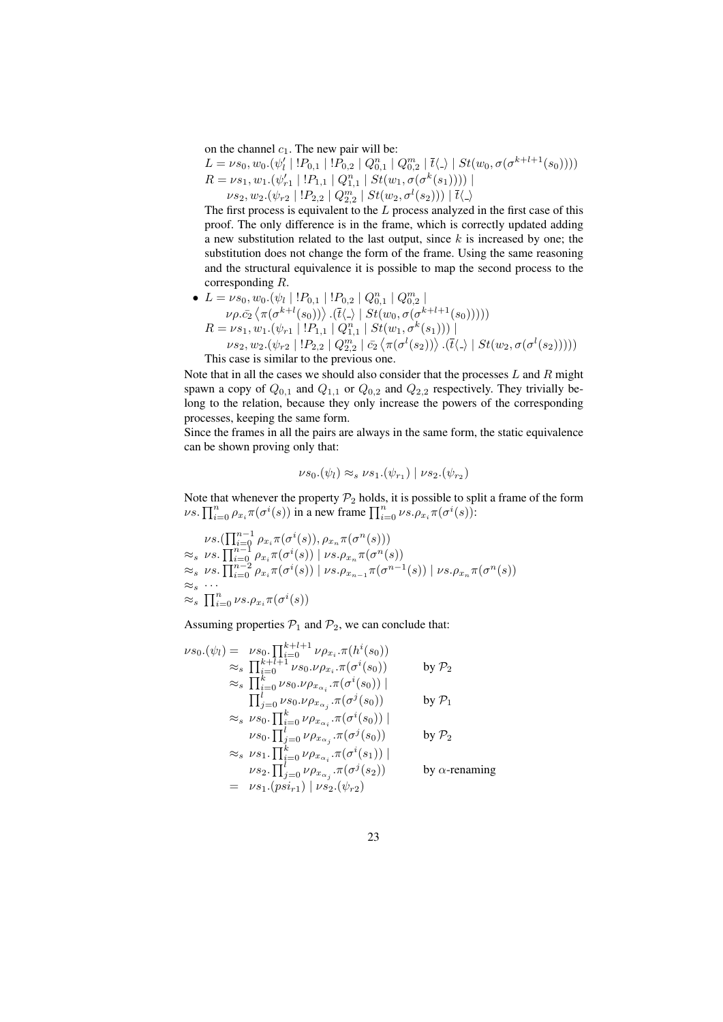on the channel  $c_1$ . The new pair will be:

 $L = \nu s_0, w_0.(\psi'_l \mid !P_{0,1} \mid !P_{0,2} \mid Q_{0,1}^n \mid Q_{0,2}^m \mid \bar{t}\langle \cdot \rangle \mid St(w_0, \sigma(\sigma^{k+l+1}(s_0))))$  $R = \nu s_1, w_1.(\psi_{r1}^{\prime} \mid !P_{1,1} \mid Q_{1,1}^n \mid St(w_1, \sigma(\sigma^k(s_1))))$  $\nu s_2, w_2.(\psi_{r2} \mid !P_{2,2}\mid Q^m_{2,2} \mid St(w_2, \sigma^l(s_2))) \mid \bar{t}\langle \_ \rangle$ 

The first process is equivalent to the  $L$  process analyzed in the first case of this proof. The only difference is in the frame, which is correctly updated adding a new substitution related to the last output, since  $k$  is increased by one; the substitution does not change the form of the frame. Using the same reasoning and the structural equivalence it is possible to map the second process to the corresponding R.

•  $L = \nu s_0, w_0.(\psi_l \mid !P_{0,1} \mid !P_{0,2} \mid Q_{0,1}^n \mid Q_{0,2}^m \mid$  $\ket{\nu\rho.\bar{c_2}\left\langle \pi(\sigma^{k+l}(s_0))\right\rangle .(\bar{t}\langle \_)\mid St(w_0,\sigma(\sigma^{k+l+1}(s_0))))}$  $R = \nu s_1, w_1.(\psi_{r1} | P_{1,1} | Q_{1,1}^n | St(w_1, \sigma^k(s_1)))$  $\nu s_2, w_2.(\psi_{r2} \mid !P_{2,2}\mid Q^m_{2,2} \mid \bar{c_2} \left\langle \pi(\sigma^l(s_2)) \right\rangle .(\bar{t}\langle \_ \rangle \mid St(w_2, \sigma(\sigma^l(s_2)))) )$ 

This case is similar to the previous one.

Note that in all the cases we should also consider that the processes  $L$  and  $R$  might spawn a copy of  $Q_{0,1}$  and  $Q_{1,1}$  or  $Q_{0,2}$  and  $Q_{2,2}$  respectively. They trivially belong to the relation, because they only increase the powers of the corresponding processes, keeping the same form.

Since the frames in all the pairs are always in the same form, the static equivalence can be shown proving only that:

$$
\nu s_0.(\psi_l) \approx_s \nu s_1.(\psi_{r_1}) \mid \nu s_2.(\psi_{r_2})
$$

Note that whenever the property  $P_2$  holds, it is possible to split a frame of the form  $\nu s. \prod_{i=0}^{n} \rho_{x_i} \pi(\sigma^i(s))$  in a new frame  $\prod_{i=0}^{n} \nu s. \rho_{x_i} \pi(\sigma^i(s))$ :

$$
\nu s.(\prod_{i=0}^{n-1} \rho_{x_i} \pi(\sigma^i(s)), \rho_{x_n} \pi(\sigma^n(s)))
$$
\n
$$
\approx_s \nu s. \prod_{i=0}^{n-1} \rho_{x_i} \pi(\sigma^i(s)) \mid \nu s. \rho_{x_n} \pi(\sigma^n(s))
$$
\n
$$
\approx_s \nu s. \prod_{i=0}^{n-2} \rho_{x_i} \pi(\sigma^i(s)) \mid \nu s. \rho_{x_{n-1}} \pi(\sigma^{n-1}(s)) \mid \nu s. \rho_{x_n} \pi(\sigma^n(s))
$$
\n
$$
\approx_s \prod_{i=0}^n \nu s. \rho_{x_i} \pi(\sigma^i(s))
$$

Assuming properties  $P_1$  and  $P_2$ , we can conclude that:

$$
\nu s_0.(\psi_l) = \nu s_0. \prod_{i=0}^{k+l+1} \nu \rho_{x_i.} \pi(h^i(s_0))
$$
  
\n
$$
\approx \prod_{i=0}^{k+l+1} \nu s_0. \nu \rho_{x_i.} \pi(\sigma^i(s_0)) \qquad \text{by } \mathcal{P}_2
$$
  
\n
$$
\approx \prod_{i=0}^{k} \nu s_0. \nu \rho_{x_{\alpha_i.}} \pi(\sigma^i(s_0))
$$
  
\n
$$
\prod_{j=0}^{l} \nu s_0. \nu \rho_{x_{\alpha_j.}} \pi(\sigma^j(s_0)) \qquad \text{by } \mathcal{P}_1
$$
  
\n
$$
\approx_s \nu s_0. \prod_{i=0}^{k} \nu \rho_{x_{\alpha_i.}} \pi(\sigma^i(s_0))
$$
  
\n
$$
\nu s_0. \prod_{j=0}^{l} \nu \rho_{x_{\alpha_j.}} \pi(\sigma^j(s_0)) \qquad \text{by } \mathcal{P}_2
$$
  
\n
$$
\approx_s \nu s_1. \prod_{i=0}^{k} \nu \rho_{x_{\alpha_i.}} \pi(\sigma^i(s_1))
$$
  
\n
$$
\nu s_2. \prod_{j=0}^{l} \nu \rho_{x_{\alpha_j.}} \pi(\sigma^j(s_2)) \qquad \text{by } \alpha\text{-renaming}
$$
  
\n
$$
= \nu s_1.(psi_{r1}) \mid \nu s_2.(\psi_{r2})
$$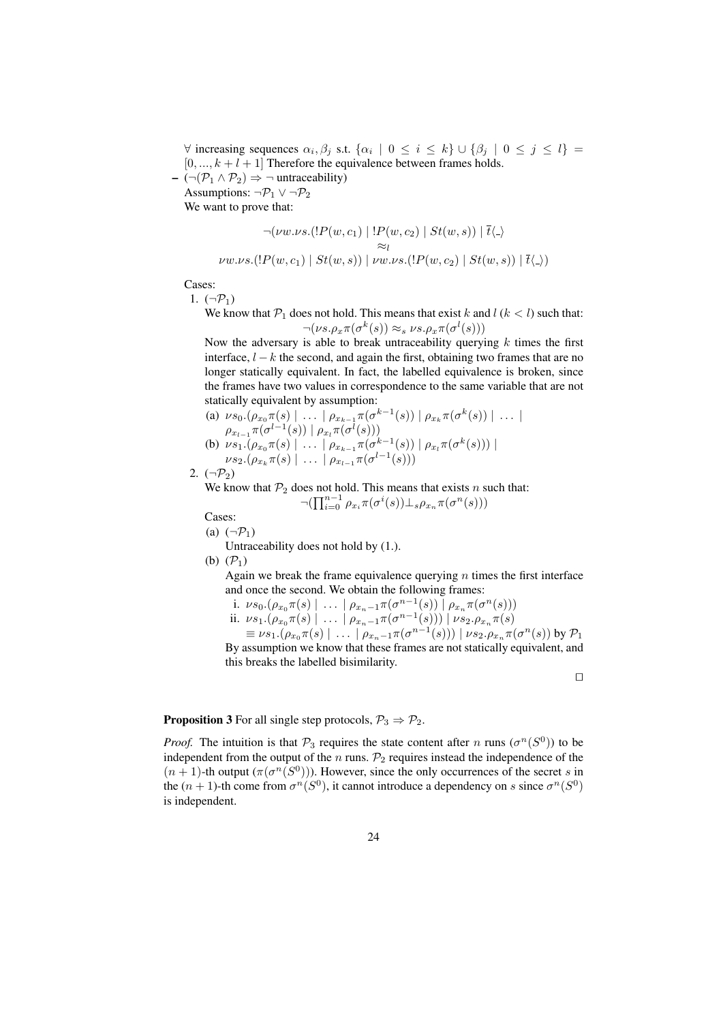$\forall$  increasing sequences  $\alpha_i, \beta_j$  s.t.  $\{\alpha_i \mid 0 \leq i \leq k\} \cup \{\beta_j \mid 0 \leq j \leq l\}$  $[0, ..., k+l+1]$  Therefore the equivalence between frames holds. – (¬ $(\mathcal{P}_1 \land \mathcal{P}_2)$  ⇒ ¬ untraceability)

Assumptions:  $\neg P_1 \lor \neg P_2$ 

We want to prove that:

$$
\neg(\nu w.\nu s.(!P(w,c_1) \mid !P(w,c_2) \mid St(w,s)) \mid \overline{t}\langle \cdot \rangle
$$
  

$$
\approx_l
$$
  

$$
\nu w.\nu s.(!P(w,c_1) \mid St(w,s)) \mid \nu w.\nu s.(!P(w,c_2) \mid St(w,s)) \mid \overline{t}\langle \cdot \rangle)
$$

Cases:

1.  $(\neg P_1)$ 

We know that  $P_1$  does not hold. This means that exist k and  $l$  ( $k < l$ ) such that:  $\neg(\nu s. \rho_x \pi(\sigma^k(s)) \approx_s \nu s. \rho_x \pi(\sigma^l(s)))$ 

Now the adversary is able to break untraceability querying  $k$  times the first interface,  $l - k$  the second, and again the first, obtaining two frames that are no longer statically equivalent. In fact, the labelled equivalence is broken, since the frames have two values in correspondence to the same variable that are not statically equivalent by assumption:

(a) 
$$
\nu s_0 \cdot (\rho_{x_0} \pi(s) | \dots | \rho_{x_{k-1}} \pi(\sigma^{k-1}(s)) | \rho_{x_k} \pi(\sigma^k(s)) | \dots | \rho_{x_{l-1}} \pi(\sigma^{l-1}(s)) | \rho_{x_l} \pi(\sigma^l(s))
$$
  
\n(b)  $\nu s_1 \cdot (\rho_{x_0} \pi(s) | \dots | \rho_{x_{k-1}} \pi(\sigma^{k-1}(s)) | \rho_{x_l} \pi(\sigma^k(s)) ) | \nu s_2 \cdot (\rho_{x_k} \pi(s) | \dots | \rho_{x_{l-1}} \pi(\sigma^{l-1}(s)) )$ 

2.  $(\neg P_2)$ 

We know that  $P_2$  does not hold. This means that exists n such that:  $\neg(\prod_{i=0}^{n-1}\rho_{x_i}\pi(\sigma^i(s))\bot_s\rho_{x_n}\pi(\sigma^n(s)))$ 

Cases:

(a)  $(\neg \mathcal{P}_1)$ 

Untraceability does not hold by (1.).

(b)  $(\mathcal{P}_1)$ 

Again we break the frame equivalence querying  $n$  times the first interface and once the second. We obtain the following frames:

i.  $\nu s_0.(\rho_{x_0}\pi(s) | \ldots | \rho_{x_n-1}\pi(\sigma^{n-1}(s)) | \rho_{x_n}\pi(\sigma^n(s)))$ ii.  $\nu s_1.(\rho_{x_0}\pi(s) | \ldots | \rho_{x_n-1}\pi(\sigma^{n-1}(s))) | \nu s_2.\rho_{x_n}\pi(s)$ 

 $\equiv \nu s_1.(\rho_{x_0} \pi(s) \mid \ldots \mid \rho_{x_n-1} \pi(\sigma^{n-1}(s))) \mid \nu s_2. \rho_{x_n} \pi(\sigma^n(s))$  by  $\mathcal{P}_1$ By assumption we know that these frames are not statically equivalent, and this breaks the labelled bisimilarity.

 $\Box$ 

**Proposition 3** For all single step protocols,  $\mathcal{P}_3 \Rightarrow \mathcal{P}_2$ .

*Proof.* The intuition is that  $\mathcal{P}_3$  requires the state content after n runs  $(\sigma^n(S^0))$  to be independent from the output of the *n* runs.  $P_2$  requires instead the independence of the  $(n + 1)$ -th output  $(\pi(\sigma^n(S^0)))$ . However, since the only occurrences of the secret s in the  $(n + 1)$ -th come from  $\sigma^n(S^0)$ , it cannot introduce a dependency on s since  $\sigma^n(S^0)$ is independent.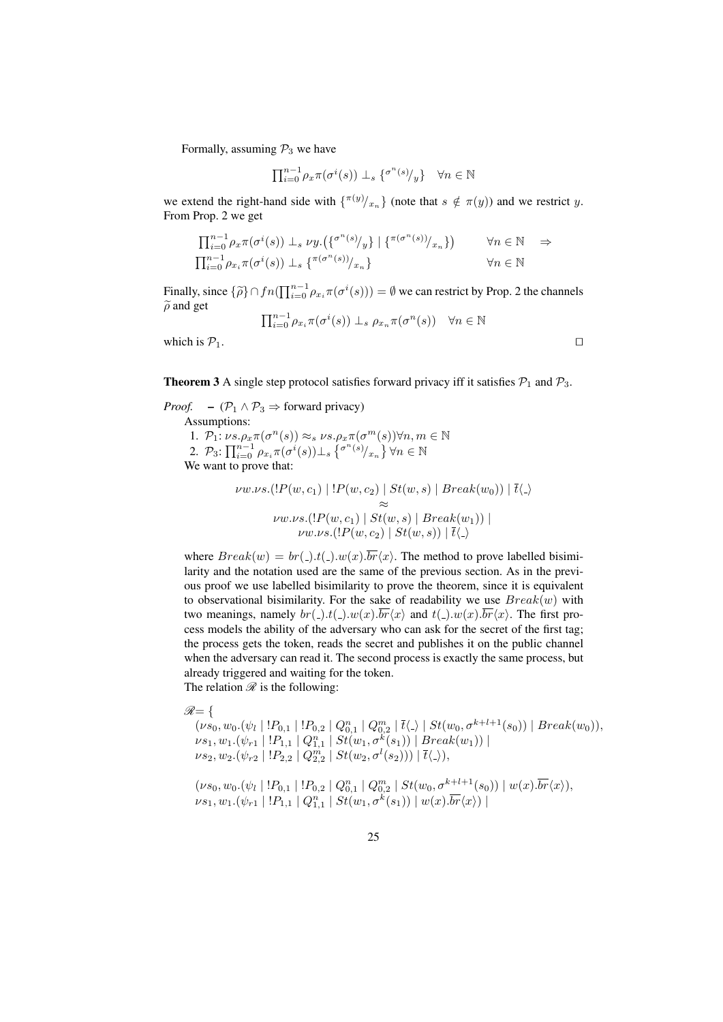Formally, assuming  $P_3$  we have

$$
\prod_{i=0}^{n-1} \rho_x \pi(\sigma^i(s)) \perp_s \{\sigma^n(s)/y\} \quad \forall n \in \mathbb{N}
$$

we extend the right-hand side with  $\{\pi^{(y)}(x_n)\}$  (note that  $s \notin \pi(y)$ ) and we restrict y. From Prop. 2 we get

$$
\Pi_{i=0}^{n-1} \rho_x \pi(\sigma^i(s)) \perp_s \nu y. (\{\sigma^n(s)/y\} \mid {\{\pi(\sigma^n(s))/x_n\}}) \qquad \forall n \in \mathbb{N} \Rightarrow
$$
  

$$
\Pi_{i=0}^{n-1} \rho_{x_i} \pi(\sigma^i(s)) \perp_s {\{\pi(\sigma^n(s))/x_n\}} \qquad \forall n \in \mathbb{N}
$$

Finally, since  $\{\tilde{\rho}\}\cap fn(\prod_{i=0}^{n-1} \rho_{x_i}\pi(\sigma^i(s))) = \emptyset$  we can restrict by Prop. 2 the channels  $\tilde{\rho}$  and get

$$
\prod_{i=0}^{n-1} \rho_{x_i} \pi(\sigma^i(s)) \perp_s \rho_{x_n} \pi(\sigma^n(s)) \quad \forall n \in \mathbb{N}
$$

which is  $\mathcal{P}_1$ .

**Theorem 3** A single step protocol satisfies forward privacy iff it satisfies  $P_1$  and  $P_3$ .

*Proof.* –  $(\mathcal{P}_1 \land \mathcal{P}_3 \Rightarrow$  forward privacy) Assumptions: 1.  $\mathcal{P}_1: \nu s.\rho_x \pi(\sigma^n(s)) \approx_s \nu s.\rho_x \pi(\sigma^m(s)) \forall n, m \in \mathbb{N}$ 2.  $\mathcal{P}_3$ :  $\prod_{i=0}^{n-1} \rho_{x_i} \pi(\sigma^i(s)) \bot_s \left\{ \sigma^{n}(s)} \middle|_{x_n} \right\} \forall n \in \mathbb{N}$ We want to prove that:

$$
\nu w.\nu s.(!P(w, c_1) \mid !P(w, c_2) \mid St(w, s) \mid Break(w_0)) \mid \overline{t}\langle \cdot \rangle
$$
  
\n
$$
\approx
$$
  
\n
$$
\nu w.\nu s.(!P(w, c_1) \mid St(w, s) \mid Break(w_1)) \mid
$$
  
\n
$$
\nu w.\nu s.(!P(w, c_2) \mid St(w, s)) \mid \overline{t}\langle \cdot \rangle
$$

where  $Break(w) = br(\_).t(\_).w(x) \cdot \overline{br} \langle x \rangle$ . The method to prove labelled bisimilarity and the notation used are the same of the previous section. As in the previous proof we use labelled bisimilarity to prove the theorem, since it is equivalent to observational bisimilarity. For the sake of readability we use  $Break(w)$  with two meanings, namely  $br(\underline{\ }.).t(\underline{\ }).w(x).\overline{br}\langle x\rangle$  and  $t(\underline{\ }).w(x).\overline{br}\langle x\rangle$ . The first process models the ability of the adversary who can ask for the secret of the first tag; the process gets the token, reads the secret and publishes it on the public channel when the adversary can read it. The second process is exactly the same process, but already triggered and waiting for the token. The relation  $\mathcal{R}$  is the following:

 $\mathscr{R} = \{$ 

 $(\nu s_0, w_0.(\psi_l \mid !P_{0,1} \mid !P_{0,2} \mid Q_{0,1}^n \mid Q_{0,2}^m \mid \bar{t}\langle \cdot \rangle \mid St(w_0, \sigma^{k+l+1}(s_0)) \mid Break(w_0)),$  $\nu s_1, w_1.(\psi_{r1} \mid !P_{1,1} \mid Q_{1,1}^n \mid St(w_1, \sigma^k(s_1)) \mid Break(w_1)) \mid$  $\nu s_2, w_2.(\psi_{r2} \mid !P_{2,2} \mid Q_{2,2}^m \mid St(w_2, \sigma^l(s_2))) \mid \overline{t}\langle \mathbf{x} \rangle),$ 

$$
(\nu s_0, w_0.(\psi_l \mid !P_{0,1} \mid !P_{0,2} \mid Q_{0,1}^n \mid Q_{0,2}^m \mid St(w_0, \sigma^{k+l+1}(s_0)) \mid w(x).\overline{br}\langle x\rangle),\n\nu s_1, w_1.(\psi_{r1} \mid !P_{1,1} \mid Q_{1,1}^n \mid St(w_1, \sigma^k(s_1)) \mid w(x).\overline{br}\langle x\rangle)
$$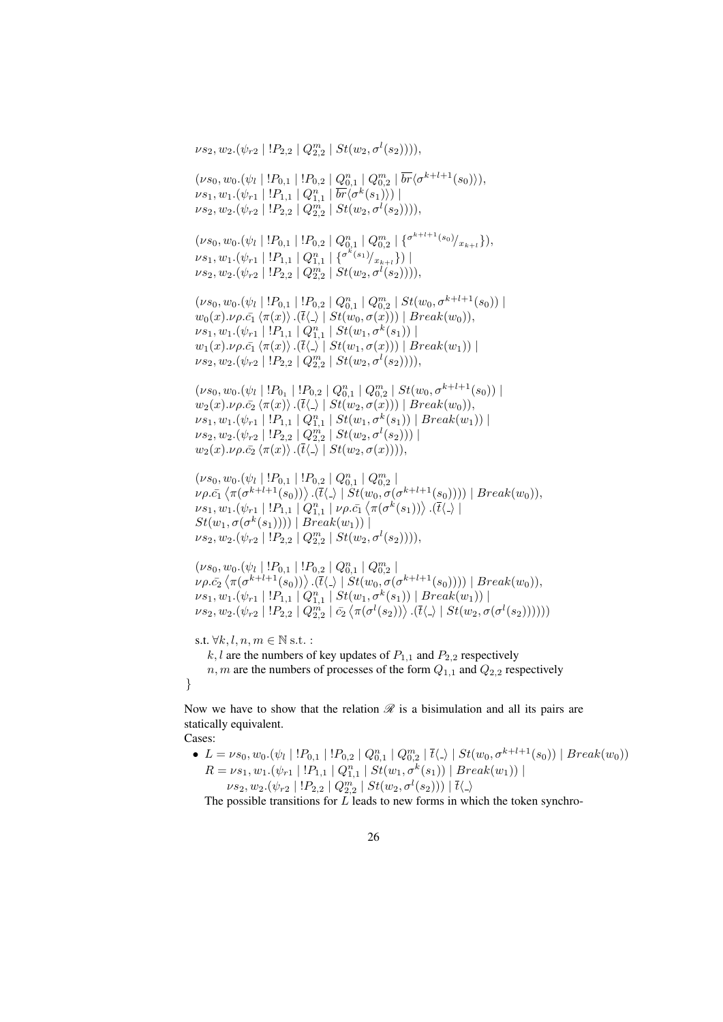```
\nu s_2, w_2.(\psi_{r2} \mid !P_{2,2} \mid Q_{2,2}^m \mid St(w_2, \sigma^l(s_2))))(\nu s_0, w_0.(\psi_l \mid !P_{0,1} \mid !P_{0,2} \mid Q_{0,1}^n \mid Q_{0,2}^m \mid \overline{br} \langle \sigma^{k+l+1}(s_0) \rangle),\nu s_1, w_1.(\psi_{r1} \mid !P_{1,1} \mid Q_{1,1}^n \mid \overline{br} \langle \sigma^k(s_1)\rangle) \mid\nu s_2, w_2.(\psi_{r2} \mid !P_{2,2} \mid Q^m_{2,2} \mid St(w_2, \sigma^l(s_2)))) ,(\nu s_0, w_0.(\psi_l \mid !P_{0,1} \mid !P_{0,2} \mid Q_{0,1}^n \mid Q_{0,2}^m \mid {\{\sigma^{k+l+1}(s_0)}/{x_{k+l}}\}),\nu s_1, w_1.(\psi_{r1} \mid !P_{1,1} \mid Q_{1,1}^n \mid \{\sigma^{k}(s_1)/_{x_{k+l}}\}) \mid\nu s_2, w_2.(\psi_{r2} \mid !P_{2,2} \mid Q^m_{2,2} \mid St(w_2, \sigma^l(s_2)))) ,(\nu s_0, w_0.(\psi_l \mid !P_{0,1} \mid !P_{0,2} \mid Q_{0,1}^n \mid Q_{0,2}^m \mid St(w_0, \sigma^{k+l+1}(s_0)) \midw_0(x).\nu \rho.\bar{c_1} \langle \pi(x) \rangle \langle \bar{t} \langle \rangle | St(w_0, \sigma(x))) | Break(w_0),\nu s_1, w_1.(\psi_{r1} | P_{1,1} | Q_{1,1}^n | St(w_1, \sigma^k(s_1)) |w_1(x).\nu \rho.\bar{c_1} \langle \pi(x) \rangle \cdot (\bar{t} \langle \cdot \rangle \mid St(w_1, \sigma(x))) \mid Break(w_1)) \mid\nu s_2, w_2.(\psi_{r2} \mid !P_{2,2} \mid Q^m_{2,2} \mid St(w_2, \sigma^l(s_2))))(\nu s_0, w_0.(\psi_l \mid !P_{0_1} \mid !P_{0,2} \mid Q_{0,1}^n \mid Q_{0,2}^m \mid St(w_0, \sigma^{k+l+1}(s_0)) \midw_2(x).\nu \rho.\bar{c_2} \langle \pi(x) \rangle \cdot (\bar{t} \langle \_ \rangle | St(w_2, \sigma(x))) | Break(w_0)),\nu s_1, w_1.(\psi_{r1} | !P_{1,1} | Q_{1,1}^n | St(w_1, \sigma^k(s_1)) | Break(w_1)) |\nu s_2, w_2.(\psi_{r2} \mid !P_{2,2} \mid Q_{2,2}^m \mid St(w_2, \sigma^l(s_2))) \midw_2(x) \cdot \nu \rho \cdot \bar{c_2} \langle \pi(x) \rangle \cdot (\bar{t} \langle \bar{z} \rangle | S_t(w_2, \sigma(x)))),(\nu s_0, w_0.(\psi_l \mid !P_{0,1} \mid !P_{0,2} \mid Q_{0,1}^n \mid Q_{0,2}^m \mid\nonumber \begin{aligned} \nu\rho.\bar{c_1}\left\langle\pi(\sigma^{k+l+1}(s_0))\right\rangle .&(\bar{t}\langle\_)\mid St(w_0,\sigma(\sigma^{k+l+1}(s_0))))\mid Break(w_0)), \end{aligned}νs1, w1.(ψr1 | !P1,1 | Qn
1,1
| νρ.c¯1

π(σ
k
(s1))
.(th i |
St(w_1, \sigma(\sigma^k(s_1)))) \mid Break(w_1)) \mid\nu s_2, w_2.(\psi_{r2} \mid !P_{2,2} \mid Q^m_{2,2} \mid St(w_2, \sigma^l(s_2))))(\nu s_0, w_0.(\psi_l \mid !P_{0,1} \mid !P_{0,2} \mid Q_{0,1}^n \mid Q_{0,2}^m \mid\nonumber \begin{aligned} \nu\rho.\bar{c_2}\left\langle \pi(\sigma^{k+l+1}(s_0))\right\rangle .(\bar{t}\langle\_{rangle\mid \dot{St}(w_0,\sigma(\sigma^{k+l+1}(s_0))))\mid Break(w_0)), \end{aligned}\nu s_1, w_1.(\psi_{r1} | !P_{1,1} | Q_{1,1}^n | St(w_1, \sigma^k(s_1)) | Break(w_1)) |\nu s_2, w_2.(\psi_{r2} \mid !P_{2,2}\mid Q^m_{2,2}\mid \bar{c_2} \left\langle \pi(\sigma^l(s_2))\right\rangle .(\bar{t}\left\langle \_ \right\rangle \mid St(w_2,\sigma(\sigma^l(s_2))))))s.t. \forall k, l, n, m \in \mathbb{N} s.t. :
    k, l are the numbers of key updates of P_{1,1} and P_{2,2} respectively
    n, m are the numbers of processes of the form Q_{1,1} and Q_{2,2} respectively
```
Now we have to show that the relation  $\mathcal R$  is a bisimulation and all its pairs are statically equivalent.

Cases:

}

•  $L = \nu s_0, w_0.(\psi_l \mid !P_{0,1} \mid !P_{0,2} \mid Q_{0,1}^n \mid Q_{0,2}^m \mid \bar{t}\langle \cdot \rangle \mid St(w_0, \sigma^{k+l+1}(s_0)) \mid Break(w_0))$  $R = \nu s_1, w_1.(\psi_{r1} | P_{1,1} | Q_{1,1}^n | St(w_1, \sigma^k(s_1)) | Break(w_1)) |$  $\nu s_2, w_2.(\psi_{r2} \mid !P_{2,2}\mid Q^m_{2,2} \mid St(w_2, \sigma^l(s_2))) \mid \bar{t}\langle \mathbf{.}\rangle$ 

The possible transitions for  $L$  leads to new forms in which the token synchro-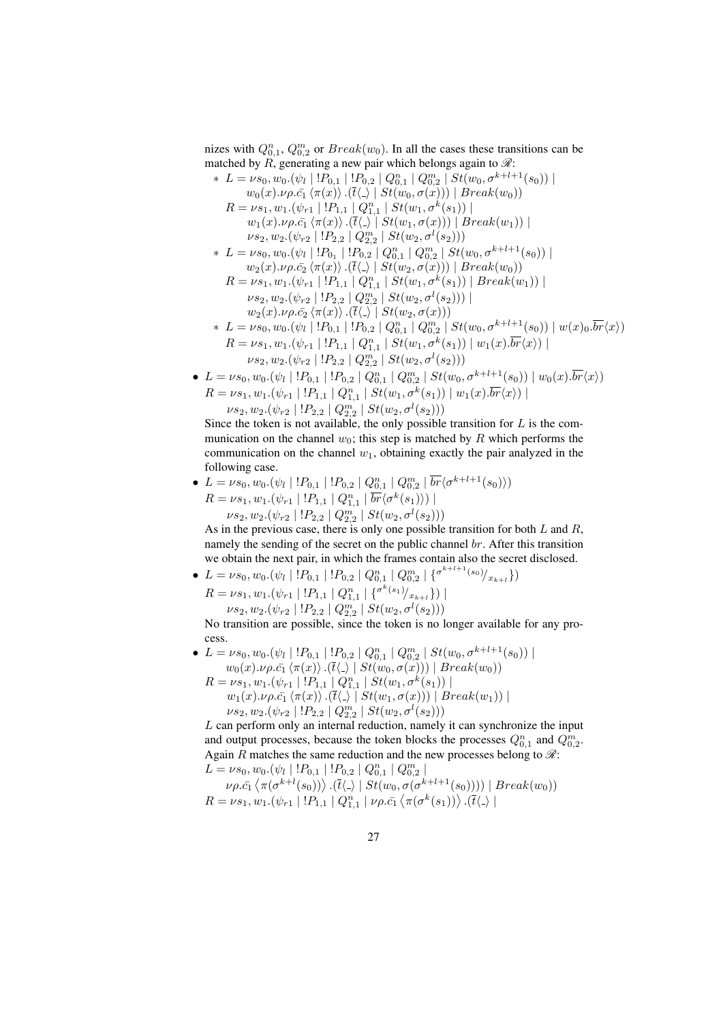nizes with  $Q_{0,1}^n$ ,  $Q_{0,2}^m$  or  $Break(w_0)$ . In all the cases these transitions can be matched by R, generating a new pair which belongs again to  $\mathcal{R}$ :

\* 
$$
L = \nu s_0, w_0.(\psi_l \mid !P_{0,1} \mid !P_{0,2} \mid Q_{0,1}^n \mid Q_{0,2}^m \mid St(w_0, \sigma^{k+l+1}(s_0)) \mid
$$
  
\n $w_0(x).\nu \rho.\bar{c}_1 \langle \pi(x) \rangle .(\bar{t}\langle \cdot \rangle \mid St(w_0, \sigma(x))) \mid Break(w_0))$   
\n $R = \nu s_1, w_1.(\psi_{r1} \mid !P_{1,1} \mid Q_{1,1}^n \mid St(w_1, \sigma^k(s_1)) \mid$   
\n $w_1(x).\nu \rho.\bar{c}_1 \langle \pi(x) \rangle .(\bar{t}\langle \cdot \rangle \mid St(w_1, \sigma(x))) \mid Break(w_1)) \mid$   
\n $\nu s_2, w_2.(\psi_{r2} \mid !P_{2,2} \mid Q_{2,2}^m \mid St(w_2, \sigma^l(s_2)))$   
\n\*  $L = \nu s_0, w_0.(\psi_l \mid !P_{0,1} \mid !P_{0,2} \mid Q_{0,1}^m \mid Q_{0,2}^m \mid St(w_0, \sigma^{k+l+1}(s_0)) \mid$ 

- $w_2(x).\nu \rho.\bar{c_2} \langle \pi(x) \rangle \langle \bar{t} \langle \rangle | St(w_2, \sigma(x))) | Break(w_0) \rangle$  $R = \nu s_1, w_1.(\psi_{r1} | P_{1,1} | Q_{1,1}^n | St(w_1, \sigma^k(s_1)) | Break(w_1)) |$  $\nu s_2, w_2.(\psi_{r2} \mid !P_{2,2} \mid Q_{2,2}^m \mid St(w_2, \sigma^l(s_2))) \mid$  $w_2(x) \cdot \nu \rho \cdot \bar{c_2} \langle \pi(x) \rangle \cdot (\bar{t} \langle \_ \rangle | St(w_2, \sigma(x)))$
- \*  $L = \nu s_0, w_0.(\psi_l \mid !P_{0,1} \mid !P_{0,2} \mid Q_{0,1}^n \mid Q_{0,2}^m \mid St(w_0, \sigma^{k+l+1}(s_0)) \mid w(x)_0.\overline{br}\langle x \rangle)$  $R = \nu s_1, w_1.(\psi_{r1} | P_{1,1} | Q_{1,1}^n | St(w_1, \sigma^k(s_1)) | w_1(x).\overline{br}\langle x \rangle) |$  $\nu s_2, w_2.(\psi_{r2} | P_{2,2} | Q_{2,2}^m | St(w_2, \sigma^l(s_2)))$
- $L = \nu s_0, w_0.(\psi_l \mid !P_{0,1} \mid !P_{0,2} \mid Q_{0,1}^n \mid Q_{0,2}^m \mid St(w_0, \sigma^{k+l+1}(s_0)) \mid w_0(x).\overline{br}\langle x \rangle)$  $R = \nu s_1, w_1.(\psi_{r1} | P_{1,1} | Q_{1,1}^n | St(w_1, \sigma^k(s_1)) | w_1(x).\overline{br}\langle x \rangle) |$  $\nu s_2, w_2.(\psi_{r2} \mid !P_{2,2} \mid Q^m_{2,2} \mid St(w_2, \sigma^l(s_2)))$

Since the token is not available, the only possible transition for  $L$  is the communication on the channel  $w_0$ ; this step is matched by R which performs the communication on the channel  $w_1$ , obtaining exactly the pair analyzed in the following case.

•  $L = \nu s_0, w_0.(\psi_l \mid !P_{0,1} \mid !P_{0,2} \mid Q_{0,1}^n \mid Q_{0,2}^m \mid \overline{br} \langle \sigma^{k+l+1}(s_0) \rangle)$  $R = \nu s_1, w_1.(\psi_{r1} | P_{1,1} | Q_{1,1}^n | \overline{br} \langle \sigma^k(s_1) \rangle) |$  $\nu s_2, w_2.(\psi_{r2} \mid !P_{2,2} \mid Q^m_{2,2} \mid St(w_2, \sigma^l(s_2)))$ 

As in the previous case, there is only one possible transition for both  $L$  and  $R$ , namely the sending of the secret on the public channel br. After this transition we obtain the next pair, in which the frames contain also the secret disclosed.

•  $L = \nu s_0, w_0.(\psi_l \mid !P_{0,1} \mid !P_{0,2} \mid Q_{0,1}^n \mid Q_{0,2}^m \mid {\{\sigma^{k+l+1}(s_0)} /_{x_{k+l}}\}})$  $R = \nu s_1, w_1.(\psi_{r1} | P_{1,1} | Q_{1,1}^n | {\sigma^k(s_1)} /_{x_{k+l}}))$ 

 $\nu s_2, w_2.(\psi_{r2} | P_{2,2} | Q^{m}_{2,2} | St(w_2, \sigma^l(s_2)))$ 

No transition are possible, since the token is no longer available for any process.

•  $L = \nu s_0, w_0.(\psi_l \mid !P_{0,1} \mid !P_{0,2} \mid Q_{0,1}^n \mid Q_{0,2}^m \mid St(w_0, \sigma^{k+l+1}(s_0)) \mid$  $w_0(x).\nu \rho.\bar{c_1} \langle \pi(x) \rangle \cdot (\bar{t} \langle \cdot \rangle | St(w_0, \sigma(x))) | Break(w_0))$  $R = \nu s_1, w_1.(\psi_{r1} | P_{1,1} | Q_{1,1}^n | St(w_1, \sigma^k(s_1)) |$  $w_1(x).\nu \rho.\bar{c_1} \langle \pi(x) \rangle \langle \bar{t} \langle \rangle | St(w_1, \sigma(x))) | Break(w_1) \rangle |$  $\nu s_2, w_2.(\psi_{r2} | P_{2,2} | Q_{2,2}^m | St(w_2, \sigma^l(s_2)))$ 

 $L$  can perform only an internal reduction, namely it can synchronize the input and output processes, because the token blocks the processes  $Q_{0,1}^n$  and  $Q_{0,2}^m$ . Again R matches the same reduction and the new processes belong to  $\mathcal{R}$ :

$$
L = \nu s_0, w_0.(\psi_l \mid !P_{0,1} \mid !P_{0,2} \mid Q_{0,1}^n \mid Q_{0,2}^m)
$$
  
\n
$$
\nu \rho. \bar{c_1} \langle \pi(\sigma^{k+l}(s_0)) \rangle .(\bar{t} \langle \cdot \rangle \mid St(w_0, \sigma(\sigma^{k+l+1}(s_0)))) \mid Break(w_0))
$$
  
\n
$$
R = \nu s_1, w_1.(\psi_{r1} \mid !P_{1,1} \mid Q_{1,1}^n \mid \nu \rho. \bar{c_1} \langle \pi(\sigma^k(s_1)) \rangle .(\bar{t} \langle \cdot \rangle \mid
$$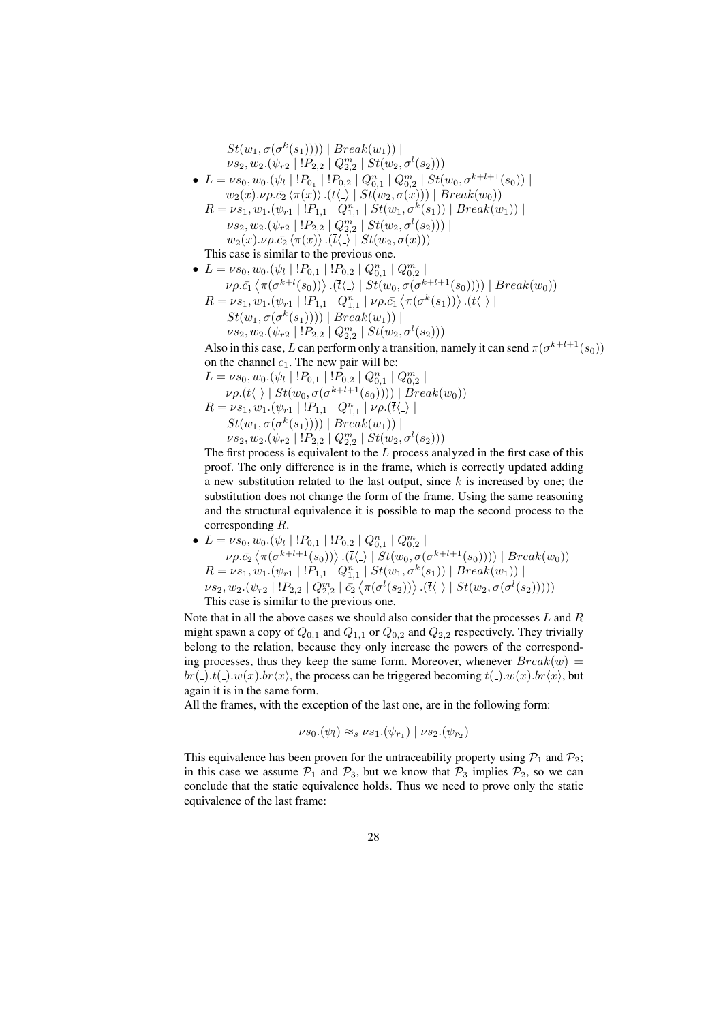$St(w_1, \sigma(\sigma^k(s_1)))) \mid Break(w_1)) \mid$ 

- $\nu s_2, w_2.(\psi_{r2} \mid !P_{2,2} \mid Q^m_{2,2} \mid St(w_2, \sigma^l(s_2)))$
- $L = \nu s_0, w_0.(\psi_l \mid !P_{0,1} \mid !P_{0,2} \mid Q_{0,1}^n \mid Q_{0,2}^m \mid St(w_0, \sigma^{k+l+1}(s_0)) \mid$  $w_2(x).\nu \rho.\bar{c_2}\braket{\pi(x)}.(\bar{t}\langle\_)\mid St(w_2,\sigma(x)))\mid Break(w_0))$  $R = \nu s_1, w_1.(\psi_{r1} | P_{1,1} | Q_{1,1}^n | St(w_1, \sigma^k(s_1)) | Break(w_1)) |$ 
	- $\nu s_2, w_2.(\psi_{r2} | P_{2,2} | Q_{2,2}^m | St(w_2, \sigma^l(s_2))) |$  $w_2(x) \cdot \nu \rho \cdot \bar{c}_2 \langle \pi(x) \rangle \cdot (\bar{t} \langle \cdot \rangle \mid St(w_2, \sigma(x)))$

This case is similar to the previous one.

- $L = \nu s_0, w_0.(\psi_l \mid !P_{0,1} \mid !P_{0,2} \mid Q_{0,1}^n \mid Q_{0,2}^m \mid$  $\ket{\psi\rho.\bar{c_1}}\bra{\pi(\sigma^{k+l}(s_0))}.(\bar{t}\langle\_{rangle} \mid St(w_0,\sigma(\sigma^{k+l+1}(s_0)))) \mid Break(w_0))$ 
	- $R = \nu s_1, w_1.(\psi_{r1} | P_{1,1} | Q_{1,1}^n | \nu \rho. \bar{c}_1 \langle \pi(\sigma^k(s_1)) \rangle . (\bar{t} \langle \cdot \rangle |$  $St(w_1, \sigma(\sigma^k(s_1)))) \mid Break(w_1)) \mid$

 $\nu s_2, w_2.(\psi_{r2} | P_{2,2} | Q_{2,2}^m | St(w_2, \sigma^l(s_2)))$ 

Also in this case, L can perform only a transition, namely it can send  $\pi(\sigma^{k+l+1}(s_0))$ on the channel  $c_1$ . The new pair will be:

$$
L = \nu s_0, w_0.(\psi_l \mid !P_{0,1} \mid !P_{0,2} \mid Q_{0,1}^n \mid Q_{0,2}^m \mid
$$
  
\n
$$
\nu \rho.(\bar{t}\langle \cdot \rangle \mid St(w_0, \sigma(\sigma^{k+l+1}(s_0)))) \mid Break(w_0))
$$
  
\n
$$
R = \nu s_1, w_1.(\psi_{r1} \mid !P_{1,1} \mid Q_{1,1}^n \mid \nu \rho.(\bar{t}\langle \cdot \rangle \mid
$$
  
\n
$$
St(w_1, \sigma(\sigma^k(s_1)))) \mid Break(w_1)) \mid
$$
  
\n
$$
\nu s_2, w_2.(\psi_{r2} \mid !P_{2,2} \mid Q_{2,2}^m \mid St(w_2, \sigma^l(s_2)))
$$

The first process is equivalent to the  $L$  process analyzed in the first case of this proof. The only difference is in the frame, which is correctly updated adding a new substitution related to the last output, since  $k$  is increased by one; the substitution does not change the form of the frame. Using the same reasoning and the structural equivalence it is possible to map the second process to the corresponding R.

•  $L = \nu s_0, w_0.(\psi_l \mid !P_{0,1} \mid !P_{0,2} \mid Q_{0,1}^n \mid Q_{0,2}^m \mid$  $\nu \rho . \bar{c_2} \langle \pi(\sigma^{k+l+1}(s_0)) \rangle .(\bar{t} \langle \cdot \rangle \mid St(w_0, \sigma(\sigma^{k+l+1}(s_0)))) \mid Break(w_0))$  $R = \nu s_1, w_1.(\psi_{r1} | P_{1,1} | Q_{1,1}^n | St(w_1, \sigma^k(s_1)) | Break(w_1)) |$  $\nu s_2, w_2.(\psi_{r2} \mid !P_{2,2}\mid Q^m_{2,2} \mid \bar{c_2} \left\langle \pi(\sigma^l(s_2)) \right\rangle .(\bar{t}\left\langle \_ \right\rangle \mid St(w_2, \sigma(\sigma^l(s_2)))) )$ This case is similar to the previous one.

Note that in all the above cases we should also consider that the processes  $L$  and  $R$ might spawn a copy of  $Q_{0,1}$  and  $Q_{1,1}$  or  $Q_{0,2}$  and  $Q_{2,2}$  respectively. They trivially belong to the relation, because they only increase the powers of the corresponding processes, thus they keep the same form. Moreover, whenever  $Break(w)$  =  $br(\underline{\ } ) .t(\underline{\ } ) .t(\underline{\ } ) .w(x).\overline{br}\langle x\rangle$ , the process can be triggered becoming  $t(\underline{\ } ) .w(x).\overline{br}\langle x\rangle$ , but again it is in the same form.

All the frames, with the exception of the last one, are in the following form:

$$
\nu s_0.(\psi_l) \approx_s \nu s_1.(\psi_{r_1}) \mid \nu s_2.(\psi_{r_2})
$$

This equivalence has been proven for the untraceability property using  $P_1$  and  $P_2$ ; in this case we assume  $\mathcal{P}_1$  and  $\mathcal{P}_3$ , but we know that  $\mathcal{P}_3$  implies  $\mathcal{P}_2$ , so we can conclude that the static equivalence holds. Thus we need to prove only the static equivalence of the last frame: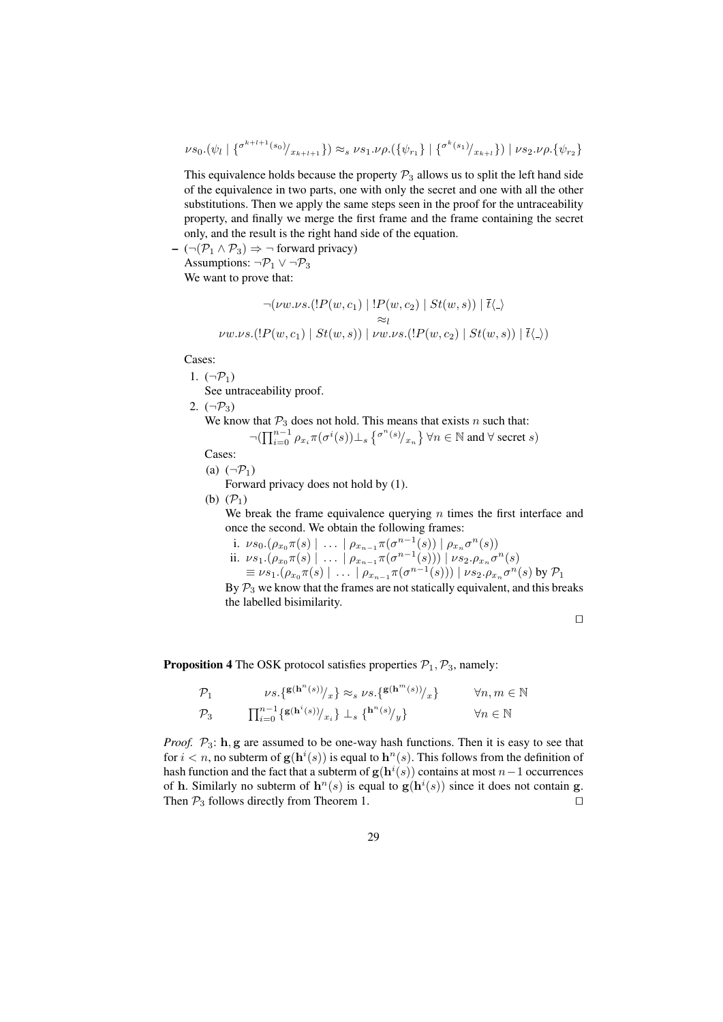$$
\nu s_0.(\psi_l \mid {\{\sigma^{k+l+1}(s_0)}\prime_{x_{k+l+1}}\}) \approx_s \nu s_1.\nu \rho.({\{\psi_{r_1}\}\mid {\{\sigma^{k}(s_1)}\prime_{x_{k+l}}\}}) \mid \nu s_2.\nu \rho. {\{\psi_{r_2}\}}
$$

This equivalence holds because the property  $P_3$  allows us to split the left hand side of the equivalence in two parts, one with only the secret and one with all the other substitutions. Then we apply the same steps seen in the proof for the untraceability property, and finally we merge the first frame and the frame containing the secret only, and the result is the right hand side of the equation.

– (¬ $(\mathcal{P}_1 \land \mathcal{P}_3)$  ⇒ ¬ forward privacy)

Assumptions:  $\neg P_1 \lor \neg P_3$ 

We want to prove that:

$$
\neg(\nu w.\nu s.(!P(w, c_1) \mid !P(w, c_2) \mid St(w, s)) \mid \bar{t}\langle \cdot \rangle
$$
  
\n
$$
\approx_l
$$
  
\n
$$
\nu w.\nu s.(!P(w, c_1) \mid St(w, s)) \mid \nu w.\nu s.(!P(w, c_2) \mid St(w, s)) \mid \bar{t}\langle \cdot \rangle)
$$

Cases:

1.  $(\neg \mathcal{P}_1)$ 

See untraceability proof.

2.  $(\neg P_3)$ <br>We kn

We know that 
$$
P_3
$$
 does not hold. This means that exists *n* such that:

$$
\neg (\prod_{i=0}^{n-1} \rho_{x_i} \pi(\sigma^i(s)) \bot_s \left\{ \right^{-n(s)}\!/_{x_n} \right\} \forall n \in \mathbb{N} \text{ and } \forall \text{ secret } s)
$$

Cases: (a)  $(\neg \mathcal{P}_1)$ 

Forward privacy does not hold by (1).

(b)  $(\mathcal{P}_1)$ 

We break the frame equivalence querying  $n$  times the first interface and once the second. We obtain the following frames:

i. 
$$
\nu s_0 . (\rho_{x_0} \pi(s) | \dots | \rho_{x_{n-1}} \pi(\sigma^{n-1}(s)) | \rho_{x_n} \sigma^n(s))
$$
  
\nii.  $\nu s_1 . (\rho_{x_0} \pi(s) | \dots | \rho_{x_{n-1}} \pi(\sigma^{n-1}(s)) | \nu s_2 . \rho_{x_n} \sigma^n(s))$   
\n $\equiv \nu s_1 . (\rho_{x_0} \pi(s) | \dots | \rho_{x_{n-1}} \pi(\sigma^{n-1}(s)) | \nu s_2 . \rho_{x_n} \sigma^n(s) \text{ by } \mathcal{P}_1$ 

By  $P_3$  we know that the frames are not statically equivalent, and this breaks the labelled bisimilarity.

 $\Box$ 

**Proposition 4** The OSK protocol satisfies properties  $P_1, P_3$ , namely:

$$
\begin{array}{ll}\n\mathcal{P}_1 & \nu s. \{^{\mathbf{g}(\mathbf{h}^n(s))}\rangle_x \} \approx_s \nu s. \{^{\mathbf{g}(\mathbf{h}^m(s))}\rangle_x \} & \forall n, m \in \mathbb{N} \\
\mathcal{P}_3 & \prod_{i=0}^{n-1} \{^{\mathbf{g}(\mathbf{h}^i(s))}\rangle_{x_i} \} \perp_s \{^{\mathbf{h}^n(s)}\rangle_y \} & \forall n \in \mathbb{N}\n\end{array}
$$

*Proof.*  $P_3$ : **h**, **g** are assumed to be one-way hash functions. Then it is easy to see that for  $i < n$ , no subterm of  $\mathbf{g}(\mathbf{h}^i(s))$  is equal to  $\mathbf{h}^n(s)$ . This follows from the definition of hash function and the fact that a subterm of  $\mathbf{g}(\mathbf{h}^i(s))$  contains at most  $n-1$  occurrences of h. Similarly no subterm of  $h^n(s)$  is equal to  $g(h^i(s))$  since it does not contain g. Then  $P_3$  follows directly from Theorem 1.